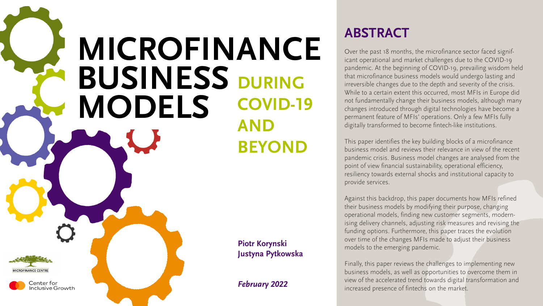# **ABSTRACT**

Over the past 18 months, the microfinance sector faced significant operational and market challenges due to the COVID-19 pandemic. At the beginning of COVID-19, prevailing wisdom held that microfinance business models would undergo lasting and irreversible changes due to the depth and severity of the crisis. While to a certain extent this occurred, most MFIs in Europe did not fundamentally change their business models, although many changes introduced through digital technologies have become a permanent feature of MFIs' operations. Only a few MFIs fully digitally transformed to become fintech-like institutions.

This paper identifies the key building blocks of a microfinance business model and reviews their relevance in view of the recent pandemic crisis. Business model changes are analysed from the point of view financial sustainability, operational efficiency, resiliency towards external shocks and institutional capacity to provide services.

# **Microfinance BUSINESS MODELS DURING COVID-19 and BEYOND**



Center for **Inclusive Growth** 

Against this backdrop, this paper documents how MFIs refined their business models by modifying their purpose, changing operational models, finding new customer segments, modernising delivery channels, adjusting risk measures and revising the funding options. Furthermore, this paper traces the evolution over time of the changes MFIs made to adjust their business models to the emerging pandemic.

Finally, this paper reviews the challenges to implementing new business models, as well as opportunities to overcome them in view of the accelerated trend towards digital transformation and increased presence of fintechs on the market.











# **Piotr Korynski Justyna Pytkowska**

*February 2022*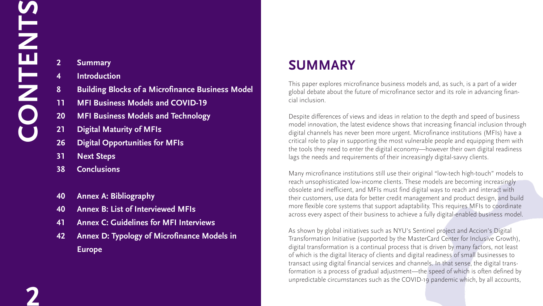- **2 Summary**
- **4 Introduction**
- **8 Building Blocks of a Microfinance Business Model**
- **11 MFI Business Models and COVID-19**
- **20 MFI Business Models and Technology**
- **21 Digital Maturity of MFIs**
- **26 Digital Opportunities for MFIs**
- **31 Next Steps**
- **38 Conclusions**
- **40 Annex A: Bibliography**
- **40 Annex B: List of Interviewed MFIs**
- **41 Annex C: Guidelines for MFI Interviews**
- **42 Annex D: Typology of Microfinance Models in Europe**

# **summary**

This paper explores microfinance business models and, as such, is a part of a wider global debate about the future of microfinance sector and its role in advancing financial inclusion.

Despite differences of views and ideas in relation to the depth and speed of business model innovation, the latest evidence shows that increasing financial inclusion through digital channels has never been more urgent. Microfinance institutions (MFIs) have a critical role to play in supporting the most vulnerable people and equipping them with the tools they need to enter the digital economy—however their own digital readiness lags the needs and requirements of their increasingly digital-savvy clients.

# **CON TENTS**

Many microfinance institutions still use their original "low-tech high-touch" models to reach unsophisticated low-income clients. These models are becoming increasingly obsolete and inefficient, and MFIs must find digital ways to reach and interact with their customers, use data for better credit management and product design, and build more flexible core systems that support adaptability. This requires MFIs to coordinate across every aspect of their business to achieve a fully digital-enabled business model.

As shown by global initiatives such as NYU's Sentinel project and Accion's Digital Transformation Initiative (supported by the MasterCard Center for Inclusive Growth), digital transformation is a continual process that is driven by many factors, not least of which is the digital literacy of clients and digital readiness of small businesses to transact using digital financial services and channels. In that sense, the digital transformation is a process of gradual adjustment—the speed of which is often defined by unpredictable circumstances such as the COVID-19 pandemic which, by all accounts,







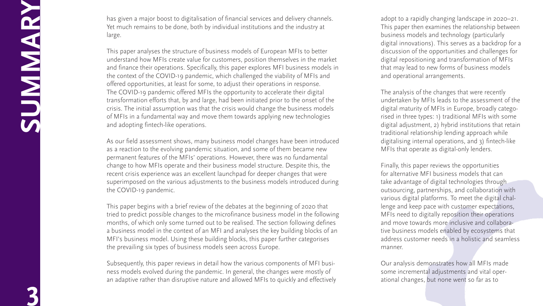has given a major boost to digitalisation of financial services and delivery channels. Yet much remains to be done, both by individual institutions and the industry at large.

This paper analyses the structure of business models of European MFIs to better understand how MFIs create value for customers, position themselves in the market and finance their operations. Specifically, this paper explores MFI business models in the context of the COVID-19 pandemic, which challenged the viability of MFIs and offered opportunities, at least for some, to adjust their operations in response. The COVID-19 pandemic offered MFIs the opportunity to accelerate their digital transformation efforts that, by and large, had been initiated prior to the onset of the crisis. The initial assumption was that the crisis would change the business models of MFIs in a fundamental way and move them towards applying new technologies and adopting fintech-like operations.

As our field assessment shows, many business model changes have been introduced as a reaction to the evolving pandemic situation, and some of them became new permanent features of the MFIs' operations. However, there was no fundamental change to how MFIs operate and their business model structure. Despite this, the recent crisis experience was an excellent launchpad for deeper changes that were superimposed on the various adjustments to the business models introduced during the COVID-19 pandemic.

This paper begins with a brief review of the debates at the beginning of 2020 that tried to predict possible changes to the microfinance business model in the following months, of which only some turned out to be realised. The section following defines a business model in the context of an MFI and analyses the key building blocks of an MFI's business model. Using these building blocks, this paper further categorises the prevailing six types of business models seen across Europe.

Subsequently, this paper reviews in detail how the various components of MFI busi ness models evolved during the pandemic. In general, the changes were mostly of an adaptive rather than disruptive nature and allowed MFIs to quickly and effectively adopt to a rapidly changing landscape in 2020–21. This paper then examines the relationship between business models and technology (particularly digital innovations). This serves as a backdrop for a discussion of the opportunities and challenges for digital repositioning and transformation of MFIs that may lead to new forms of business models and operational arrangements.

The analysis of the changes that were recently undertaken by MFIs leads to the assessment of the digital maturity of MFIs in Europe, broadly catego rised in three types: 1) traditional MFIs with some digital adjustment, 2) hybrid institutions that retain traditional relationship lending approach while digitalising internal operations, and 3) fintech-like MFIs that operate as digital-only lenders.

Finally, this paper reviews the opportunities for alternative MFI business models that can take advantage of digital technologies through outsourcing, partnerships, and collaboration with various digital platforms. To meet the digital chal lenge and keep pace with customer expectations, MFIs need to digitally reposition their operations and move towards more inclusive and collabora tive business models enabled by ecosystems that address customer needs in a holistic and seamless manner.

Our analysis demonstrates how all MFIs made some incremental adjustments and vital oper ational changes, but none went so far as to









**SUMMARY**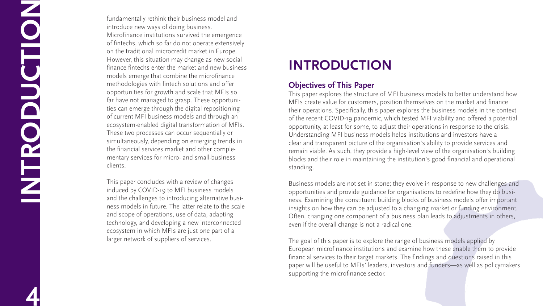fundamentally rethink their business model and introduce new ways of doing business. Microfinance institutions survived the emergence of fintechs, which so far do not operate extensively on the traditional microcredit market in Europe. However, this situation may change as new social finance fintechs enter the market and new business models emerge that combine the microfinance methodologies with fintech solutions and offer opportunities for growth and scale that MFIs so far have not managed to grasp. These opportunities can emerge through the digital repositioning of current MFI business models and through an ecosystem-enabled digital transformation of MFIs. These two processes can occur sequentially or simultaneously, depending on emerging trends in the financial services market and other comple mentary services for micro- and small-business clients.

This paper concludes with a review of changes induced by COVID-19 to MFI business models and the challenges to introducing alternative busi ness models in future. The latter relate to the scale and scope of operations, use of data, adapting technology, and developing a new interconnected ecosystem in which MFIs are just one part of a larger network of suppliers of services.

# **INTRODUCTION**

# **Objectives of This Paper**

This paper explores the structure of MFI business models to better understand how MFIs create value for customers, position themselves on the market and finance their operations. Specifically, this paper explores the business models in the context of the recent COVID-19 pandemic, which tested MFI viability and offered a potential opportunity, at least for some, to adjust their operations in response to the crisis. Understanding MFI business models helps institutions and investors have a clear and transparent picture of the organisation's ability to provide services and remain viable. As such, they provide a high-level view of the organisation's building blocks and their role in maintaining the institution's good financial and operational standing.

Business models are not set in stone; they evolve in response to new challenges and opportunities and provide guidance for organisations to redefine how they do busi ness. Examining the constituent building blocks of business models offer important insights on how they can be adjusted to a changing market or funding environment. Often, changing one component of a business plan leads to adjustments in others, even if the overall change is not a radical one.

The goal of this paper is to explore the range of business models applied by European microfinance institutions and examine how these enable them to provide financial services to their target markets. The findings and questions raised in this paper will be useful to MFIs' leaders, investors and funders—as well as policymakers supporting the microfinance sector.







**INTRODUCTION**

**4**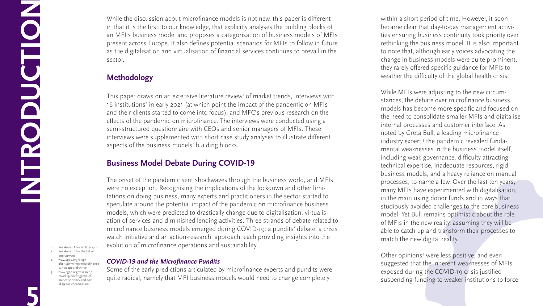While the discussion about microfinance models is not new, this paper is different in that it is the first, to our knowledge, that explicitly analyses the building blocks of an MFI's business model and proposes a categorisation of business models of MFIs present across Europe. It also defines potential scenarios for MFIs to follow in future as the digitalisation and virtualisation of financial services continues to prevail in the sector.

# **Methodology**

This paper draws on an extensive literature review' of market trends, interviews with 16 institutions<sup>2</sup> in early 2021 (at which point the impact of the pandemic on MFIs and their clients started to come into focus), and MFC's previous research on the effects of the pandemic on microfinance. The interviews were conducted using a semi-structured questionnaire with CEOs and senior managers of MFIs. These interviews were supplemented with short case study analyses to illustrate different aspects of the business models' building blocks.

# **Business Model Debate During COVID-19**

The onset of the pandemic sent shockwaves through the business world, and MFIs were no exception. Recognising the implications of the lockdown and other limitations on doing business, many experts and practitioners in the sector started to speculate around the potential impact of the pandemic on microfinance business models, which were predicted to drastically change due to digitalisation, virtualisation of services and diminished lending activities. Three strands of debate related to microfinance business models emerged during COVID-19: a pundits' debate, a crisis watch initiative and an action-research approach, each providing insights into the evolution of microfinance operations and sustainability.

> Other opinions<sup>4</sup> were less positive, and even suggested that the inherent weaknesses of MFIs exposed during the COVID-19 crisis justified suspending funding to weaker institutions to force











## *COVID-19 and the Microfinance Pundits*

See Annex A for bibliograph 2. See Annex B for the list of interviewees

**INCLES** 

Some of the early predictions articulated by microfinance experts and pundits were quite radical, namely that MFI business models would need to change completely

within a short period of time. However, it soon became clear that day-to-day management activities ensuring business continuity took priority over rethinking the business model. It is also important to note that, although early voices advocating the change in business models were quite prominent, they rarely offered specific guidance for MFIs to weather the difficulty of the global health crisis.

While MFIs were adjusting to the new circumstances, the debate over microfinance business models has become more specific and focused on the need to consolidate smaller MFIs and digitalise internal processes and customer interface. As noted by Greta Bull, a leading microfinance industry expert,<sup>3</sup> the pandemic revealed fundamental weaknesses in the business model itself, including weak governance, difficulty attracting technical expertise, inadequate resources, rigid business models, and a heavy reliance on manual processes, to name a few. Over the last ten years, many MFIs have experimented with digitalisation, in the main using donor funds and in ways that studiously avoided challenges to the core business model. Yet Bull remains optimistic about the role of MFIs in the new reality, assuming they will be able to catch up and transform their processes to match the new digital reality.

**5**

**ODUCTION** 

F

- 3. [www.cgap.org/blog/](www.cgap.org/blog/after) [after-](www.cgap.org/blog/after)storm-how-microfinancecan-adapt-and-thrive
- 4. [www.cgap.org/research/](www.cgap.org/research/covid-19-briefing/microfinance) [covid-19-briefing/microf](www.cgap.org/research/covid-19-briefing/microfinance)[inance-](www.cgap.org/research/covid-19-briefing/microfinance)solvency-and-covid-19-call-coordination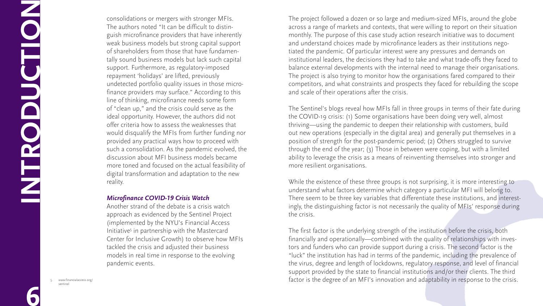consolidations or mergers with stronger MFIs. The authors noted "It can be difficult to distinguish microfinance providers that have inherently weak business models but strong capital support of shareholders from those that have fundamentally sound business models but lack such capital support. Furthermore, as regulatory-imposed repayment 'holidays' are lifted, previously undetected portfolio quality issues in those microfinance providers may surface." According to this line of thinking, microfinance needs some form of "clean up," and the crisis could serve as the ideal opportunity. However, the authors did not offer criteria how to assess the weaknesses that would disqualify the MFIs from further funding nor provided any practical ways how to proceed with such a consolidation. As the pandemic evolved, the discussion about MFI business models became more toned and focused on the actual feasibility of digital transformation and adaptation to the new reality.

## *Microfinance COVID-19 Crisis Watch*

Another strand of the debate is a crisis watch approach as evidenced by the Sentinel Project (implemented by the NYU's Financial Access Initiative<sup>5</sup> in partnership with the Mastercard Center for Inclusive Growth) to observe how MFIs tackled the crisis and adjusted their business models in real time in response to the evolving pandemic events.

While the existence of these three groups is not surprising, it is more interesting to understand what factors determine which category a particular MFI will belong to. There seem to be three key variables that differentiate these institutions, and interestingly, the distinguishing factor is not necessarily the quality of MFIs' response during the crisis.

The project followed a dozen or so large and medium-sized MFIs, around the globe across a range of markets and contexts, that were willing to report on their situation monthly. The purpose of this case study action research initiative was to document and understand choices made by microfinance leaders as their institutions negotiated the pandemic. Of particular interest were any pressures and demands on institutional leaders, the decisions they had to take and what trade-offs they faced to balance external developments with the internal need to manage their organisations. The project is also trying to monitor how the organisations fared compared to their competitors, and what constraints and prospects they faced for rebuilding the scope and scale of their operations after the crisis.

**INTROPERED** 

The Sentinel's blogs reveal how MFIs fall in three groups in terms of their fate during the COVID-19 crisis: (1) Some organisations have been doing very well, almost thriving—using the pandemic to deepen their relationship with customers, build out new operations (especially in the digital area) and generally put themselves in a position of strength for the post-pandemic period; (2) Others struggled to survive through the end of the year; (3) Those in between were coping, but with a limited ability to leverage the crisis as a means of reinventing themselves into stronger and more resilient organisations.

The first factor is the underlying strength of the institution before the crisis, both financially and operationally—combined with the quality of relationships with investors and funders who can provide support during a crisis. The second factor is the "luck" the institution has had in terms of the pandemic, including the prevalence of the virus, degree and length of lockdowns, regulatory response, and level of financial support provided by the state to financial institutions and/or their clients. The third factor is the degree of an MFI's innovation and adaptability in response to the crisis.

**6**

**ODUCTION**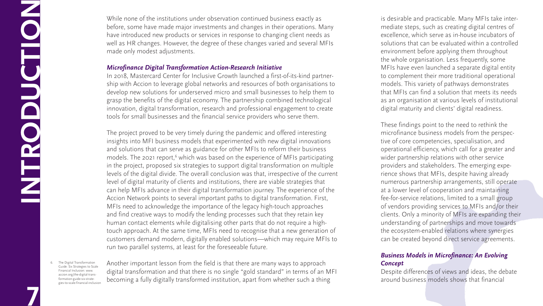While none of the institutions under observation continued business exactly as before, some have made major investments and changes in their operations. Many have introduced new products or services in response to changing client needs as well as HR changes. However, the degree of these changes varied and several MFIs made only modest adjustments.

# *Microfinance Digital Transformation Action-Research Initiative*

In 2018, Mastercard Center for Inclusive Growth launched a first-of-its-kind partnership with Accion to leverage global networks and resources of both organisations to develop new solutions for underserved micro and small businesses to help them to grasp the benefits of the digital economy. The partnership combined technological innovation, digital transformation, research and professional engagement to create tools for small businesses and the financial service providers who serve them.

The project proved to be very timely during the pandemic and offered interesting insights into MFI business models that experimented with new digital innovations and solutions that can serve as guidance for other MFIs to reform their business models. The 2021 report,<sup>6</sup> which was based on the experience of MFIs participating in the project, proposed six strategies to support digital transformation on multiple levels of the digital divide. The overall conclusion was that, irrespective of the current level of digital maturity of clients and institutions, there are viable strategies that can help MFIs advance in their digital transformation journey. The experience of the Accion Network points to several important paths to digital transformation. First, MFIs need to acknowledge the importance of the legacy high-touch approaches and find creative ways to modify the lending processes such that they retain key human contact elements while digitalising other parts that do not require a hightouch approach. At the same time, MFIs need to recognise that a new generation of customers demand modern, digitally enabled solutions—which may require MFIs to run two parallel systems, at least for the foreseeable future.

The Digital Transformation Guide: Six Strategies to Scale Financial Inclusion: [www.](www.accion.org/the) [accion.org/the](www.accion.org/the)-digital-transformation-guide-six-strategies-to-scale-financial-inclusion

**INTERNATION** 

Another important lesson from the field is that there are many ways to approach digital transformation and that there is no single "gold standard" in terms of an MFI becoming a fully digitally transformed institution, apart from whether such a thing

is desirable and practicable. Many MFIs take intermediate steps, such as creating digital centres of excellence, which serve as in-house incubators of solutions that can be evaluated within a controlled environment before applying them throughout the whole organisation. Less frequently, some MFIs have even launched a separate digital entity to complement their more traditional operational models. This variety of pathways demonstrates that MFIs can find a solution that meets its needs as an organisation at various levels of institutional digital maturity and clients' digital readiness.

These findings point to the need to rethink the microfinance business models from the perspective of core competencies, specialisation, and operational efficiency, which call for a greater and wider partnership relations with other service providers and stakeholders. The emerging experience shows that MFIs, despite having already numerous partnership arrangements, still operate at a lower level of cooperation and maintaining fee-for-service relations, limited to a small group of vendors providing services to MFIs and/or their clients. Only a minority of MFIs are expanding their understanding of partnerships and move towards the ecosystem-enabled relations where synergies can be created beyond direct service agreements.

# *Business Models in Microfinance: An Evolving Concept*

Despite differences of views and ideas, the debate around business models shows that financial



**7**

**ODUCTION** 

F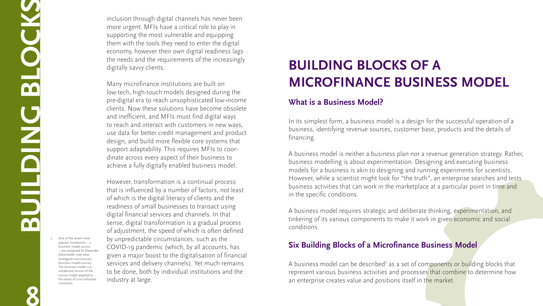inclusion through digital channels has never been more urgent. MFIs have a critical role to play in supporting the most vulnerable and equipping them with the tools they need to enter the digital economy, however their own digital readiness lags the needs and the requirements of the increasingly digitally savvy clients.

Many microfinance institutions are built on low-tech, high-touch models designed during the pre-digital era to reach unsophisticated low-income clients. Now these solutions have become obsolete and inefficient, and MFIs must find digital ways to reach and interact with customers in new ways, use data for better credit management and product design, and build more flexible core systems that support adaptability. This requires MFIs to coordinate across every aspect of their business to achieve a fully digitally enabled business model.

However, transformation is a continual process that is influenced by a number of factors, not least of which is the digital literacy of clients and the readiness of small businesses to transact using digital financial services and channels. In that sense, digital transformation is a gradual process of adjustment, the speed of which is often defined by unpredictable circumstances, such as the COVID-19 pandemic (which, by all accounts, has given a major boost to the digitalisation of financial services and delivery channels). Yet much remains to be done, both by individual institutions and the industry at large.

# **Building Blocks of a Microfinance Business Model**

# **What is a Business Model?**

In its simplest form, a business model is a design for the successful operation of a business, identifying revenue sources, customer base, products and the details of financing.

A business model is neither a business plan nor a revenue generation strategy. Rather, business modelling is about experimentation. Designing and executing business models for a business is akin to designing and running experiments for scientists. However, while a scientist might look for "the truth", an enterprise searches and tests business activities that can work in the marketplace at a particular point in time and in the specific conditions.

A business model requires strategic and deliberate thinking, experimentation, and tinkering of its various components to make it work in given economic and social conditions.

# **Six Building Blocks of a Microfinance Business Model**

A business model can be described<sup>7</sup> as a set of components or building blocks that represent various business activities and processes that combine to determine how an enterprise creates value and positions itself in the market.



**8BU**

**ILDING BL**

**CCS** 

7. One of the recent most popular frameworks – a business model canvas – was proposed by Alexander Osterwalder (see [www.](www.strategyzer.com/canvas/business) [strategyzer.com/canvas/](www.strategyzer.com/canvas/business) [business-](www.strategyzer.com/canvas/business)model-canvas). The business model is a condensed version of the canvas model adapted to the reality of a microfinance institution.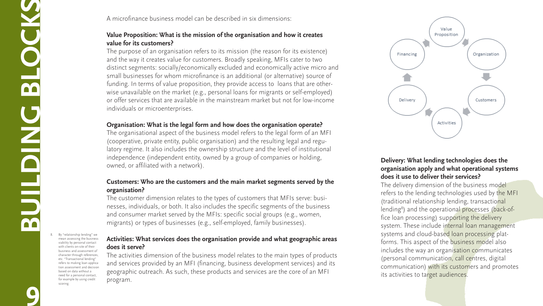# A microfinance business model can be described in six dimensions:

# **Value Proposition: What is the mission of the organisation and how it creates value for its customers?**

The purpose of an organisation refers to its mission (the reason for its existence) and the way it creates value for customers. Broadly speaking, MFIs cater to two distinct segments: socially/economically excluded and economically active micro and small businesses for whom microfinance is an additional (or alternative) source of funding. In terms of value proposition, they provide access to loans that are otherwise unavailable on the market (e.g., personal loans for migrants or self-employed) or offer services that are available in the mainstream market but not for low-income individuals or microenterprises.

# **Organisation: What is the legal form and how does the organisation operate?**

The organisational aspect of the business model refers to the legal form of an MFI (cooperative, private entity, public organisation) and the resulting legal and regulatory regime. It also includes the ownership structure and the level of institutional independence (independent entity, owned by a group of companies or holding, owned, or affiliated with a network).

# **Customers: Who are the customers and the main market segments served by the organisation?**

The customer dimension relates to the types of customers that MFIs serve: businesses, individuals, or both. It also includes the specific segments of the business and consumer market served by the MFIs: specific social groups (e.g., women, migrants) or types of businesses (e.g., self-employed, family businesses).

By "relationship lending" we mean assessing the business viability by personal contact with clients on-site of their business and assessment of character through references, etc. "Transactional lending" refers to making loan application assessment and decision based on data without a need for a personal contact, for example by using credit scoring.

**BUDE**<br>BUDE

# **Activities: What services does the organisation provide and what geographic areas does it serve?**

The activities dimension of the business model relates to the main types of products and services provided by an MFI (financing, business development services) and its geographic outreach. As such, these products and services are the core of an MFI program.

# **Delivery: What lending technologies does the organisation apply and what operational systems does it use to deliver their services?**

The delivery dimension of the business model refers to the lending technologies used by the MFI (traditional relationship lending, transactional lending<sup>8</sup>) and the operational processes (back-office loan processing) supporting the delivery system. These include internal loan management systems and cloud-based loan processing platforms. This aspect of the business model also includes the way an organisation communicates (personal communication, call centres, digital communication) with its customers and promotes its activities to target audiences.

**ILDING BL**

**M** 

**CCS** 



**9**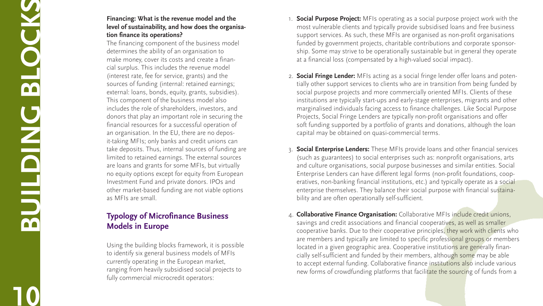# **Financing: What is the revenue model and the level of sustainability, and how does the organisa tion finance its operations?**

The financing component of the business model determines the ability of an organisation to make money, cover its costs and create a finan cial surplus. This includes the revenue model (interest rate, fee for service, grants) and the sources of funding (internal: retained earnings; external: loans, bonds, equity, grants, subsidies). This component of the business model also includes the role of shareholders, investors, and donors that play an important role in securing the financial resources for a successful operation of an organisation. In the EU, there are no depos it-taking MFIs; only banks and credit unions can take deposits. Thus, internal sources of funding are limited to retained earnings. The external sources are loans and grants for some MFIs, but virtually no equity options except for equity from European Investment Fund and private donors. IPOs and other market-based funding are not viable options as MFIs are small.

# **Typology of Microfinance Business Models in Europe**

Using the building blocks framework, it is possible to identify six general business models of MFIs currently operating in the European market, ranging from heavily subsidised social projects to fully commercial microcredit operators:

- **Social Purpose Project:** MFIs operating as a social purpose project work with the most vulnerable clients and typically provide subsidised loans and free business support services. As such, these MFIs are organised as non-profit organisations funded by government projects, charitable contributions and corporate sponsor ship. Some may strive to be operationally sustainable but in general they operate at a financial loss (compensated by a high-valued social impact).
- 2. **Social Fringe Lender:** MFIs acting as a social fringe lender offer loans and poten tially other support services to clients who are in transition from being funded by social purpose projects and more commercially oriented MFIs. Clients of these institutions are typically start-ups and early-stage enterprises, migrants and other marginalised individuals facing access to finance challenges. Like Social Purpose Projects, Social Fringe Lenders are typically non-profit organisations and offer soft funding supported by a portfolio of grants and donations, although the loan capital may be obtained on quasi-commercial terms.
- 3. **Social Enterprise Lenders:** These MFIs provide loans and other financial services (such as guarantees) to social enterprises such as: nonprofit organisations, arts and culture organisations, social purpose businesses and similar entities. Social Enterprise Lenders can have different legal forms (non-profit foundations, coop eratives, non-banking financial institutions, etc.) and typically operate as a social enterprise themselves. They balance their social purpose with financial sustaina bility and are often operationally self-sufficient.
- 4. **Collaborative Finance Organisation:** Collaborative MFIs include credit unions, savings and credit associations and financial cooperatives, as well as smaller cooperative banks. Due to their cooperative principles, they work with clients who are members and typically are limited to specific professional groups or members located in a given geographic area. Cooperative institutions are generally financially self-sufficient and funded by their members, although some may be able to accept external funding. Collaborative finance institutions also include various new forms of crowdfunding platforms that facilitate the sourcing of funds from a

**10BUILDING BLOCKS**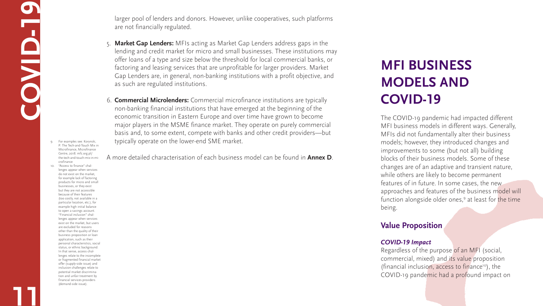larger pool of lenders and donors. However, unlike cooperatives, such platforms are not financially regulated.

- 5. **Market Gap Lenders:** MFIs acting as Market Gap Lenders address gaps in the lending and credit market for micro and small businesses. These institutions may offer loans of a type and size below the threshold for local commercial banks, or factoring and leasing services that are unprofitable for larger providers. Market Gap Lenders are, in general, non-banking institutions with a profit objective, and as such are regulated institutions.
- 6. **Commercial Microlenders:** Commercial microfinance institutions are typically non-banking financial institutions that have emerged at the beginning of the economic transition in Eastern Europe and over time have grown to become major players in the MSME finance market. They operate on purely commercial basis and, to some extent, compete with banks and other credit providers—but typically operate on the lower-end SME market.

A more detailed characterisation of each business model can be found in **Annex D**.

# **MFI Business Models and COVID-19**

The COVID-19 pandemic had impacted different MFI business models in different ways. Generally, MFIs did not fundamentally alter their business models; however, they introduced changes and improvements to some (but not all) building blocks of their business models. Some of these changes are of an adaptive and transient nature, while others are likely to become permanent features of in future. In some cases, the new approaches and features of the business model will function alongside older ones,<sup>9</sup> at least for the time being.

# **Value Proposition**

# *COVID-19 Impact*

Regardless of the purpose of an MFI (social, commercial, mixed) and its value proposition (financial inclusion, access to finance<sup>10</sup>), the COVID-19 pandemic had a profound impact on



**C**

**O**

**V**

**ID-19**

**11**

9. For examples see: Korynski, P. The Tech-and-Touch Mix in Microfinance, Microfinance Centre, 2018. [mfc.org.pl/](mfc.org.pl/the) [the](mfc.org.pl/the)-tech-and-touch-mix-in-microfinance

10. "Access to finance" challenges appear when services do not exist on the market, for example lack of factoring products for micro and small businesses, or they exist but they are not accessible because of their features (too costly, not available in a particular location, etc.), for example high initial balance to open a savings account. "Financial inclusion" challenges appear when services exist on the market, but users are excluded for reasons other than the quality of their business proposition or loan application, such as their personal characteristics, social status, or ethnic background. In that sense, access challenges relate to the incomplete or fragmented financial market offer (supply-side issue) and inclusion challenges relate to potential market discrimination and unfair treatment by financial services providers (demand-side issue).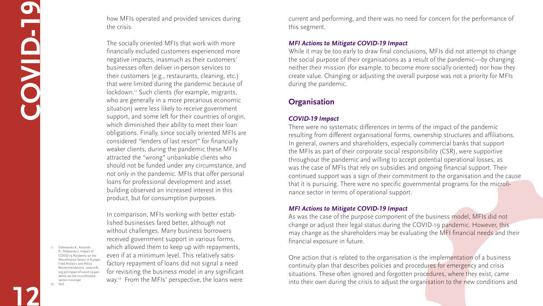how MFIs operated and provided services during the crisis.

In comparison, MFIs working with better established businesses fared better, although not without challenges. Many business borrowers received government support in various forms, which allowed them to keep up with repayments, even if at a minimum level. This relatively satisfactory repayment of loans did not signal a need for revisiting the business model in any significant way.<sup>12</sup> From the MFIs' perspective, the loans were

The socially oriented MFIs that work with more financially excluded customers experienced more negative impacts, inasmuch as their customers' businesses often deliver in-person services to their customers (e.g., restaurants, cleaning, etc.) that were limited during the pandemic because of lockdown.<sup>11</sup> Such clients (for example, migrants, who are generally in a more precarious economic situation) were less likely to receive government support, and some left for their countries of origin, which diminished their ability to meet their loan obligations. Finally, since socially oriented MFIs are considered "lenders of last resort" for financially weaker clients, during the pandemic these MFIs attracted the "wrong" unbankable clients who should not be funded under any circumstance, and not only in the pandemic. MFIs that offer personal loans for professional development and asset building observed an increased interest in this product, but for consumption purposes.

> One action that is related to the organisation is the implementation of a business continuity plan that describes policies and procedures for emergency and crisis situations. These often ignored and forgotten procedures, where they exist, came into their own during the crisis to adjust the organisation to the new conditions and

current and performing, and there was no need for concern for the performance of this segment.

# *MFI Actions to Mitigate COVID-19 Impact*

While it may be too early to draw final conclusions, MFIs did not attempt to change the social purpose of their organisations as a result of the pandemic—by changing neither their mission (for example, to become more socially oriented) nor how they create value. Changing or adjusting the overall purpose was not a priority for MFIs during the pandemic.

# **Organisation**

# *COVID-19 Impact*

There were no systematic differences in terms of the impact of the pandemic resulting from different organisational forms, ownership structures and affiliations. In general, owners and shareholders, especially commercial banks that support the MFIs as part of their corporate social responsibility (CSR), were supportive throughout the pandemic and willing to accept potential operational losses, as was the case of MFIs that rely on subsidies and ongoing financial support. Their continued support was a sign of their commitment to the organisation and the cause that it is pursuing. There were no specific governmental programs for the microfinance sector in terms of operational support.

## *MFI Actions to Mitigate COVID-19 Impact*

As was the case of the purpose component of the business model, MFIs did not change or adjust their legal status during the COVID-19 pandemic. However, this may change as the shareholders may be evaluating the MFI financial needs and their financial exposure in future.

**12**

**C**

**O**

**V**

**ID-19**

11. Dabrowska K., Korynski P., Pytkowska J. Impact of COVID-19 Pandemic on the Microfinance Sector in Europe: Field Analysis and Policy Recommendations. [www.mfc.](www.mfc.org.pl/impact) [org.pl/impact-](www.mfc.org.pl/impact)of-covid-19-pandemic-on-the-microfinancesector-in-europe 12. Ibid.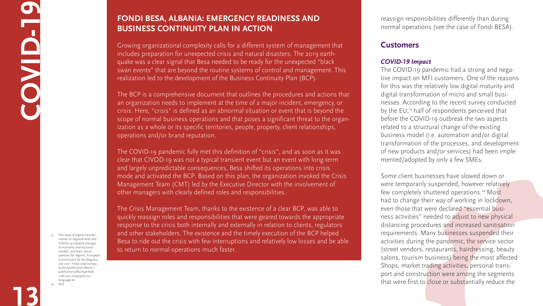reassign responsibilities differently than during normal operations (see the case of Fondi BESA).

# **Customers**

# *COVID-19 Impact*

Some client businesses have slowed down or were temporarily suspended, however relatively few completely shuttered operations.<sup>14</sup> Most had to change their way of working in lockdown, even those that were declared "essential business activities" needed to adjust to new physical distancing procedures and increased sanitisation requirements. Many businesses suspended their activities during the pandemic, the service sector (street vendors, restaurants, hairdressing, beauty salons, tourism business) being the most affected. Shops, market trading activities, personal transport and construction were among the segments that were first to close or substantially reduce the







The COVID-19 pandemic had a strong and negative impact on MFI customers. One of the reasons for this was the relatively low digital maturity and digital transformation of micro and small businesses. According to the recent survey conducted by the EU,<sup>13</sup> half of respondents perceived that before the COVID-19 outbreak the two aspects related to a structural change of the existing business model (i.e. automation and/or digital transformation of the processes, and development of new products and/or services) had been implemented/adopted by only a few SMEs.

**13**

# **COV ID-19**

# **Fondi Besa, Albania: Emergency Readiness and Business Continuity Plan in Action**

Growing organizational complexity calls for a different system of management that includes preparation for unexpected crisis and natural disasters. The 2019 earthquake was a clear signal that Besa needed to be ready for the unexpected "black swan events" that are beyond the routine systems of control and management. This realization led to the development of the Business Continuity Plan (BCP).

The BCP is a comprehensive document that outlines the procedures and actions that an organization needs to implement at the time of a major incident, emergency, or crisis. Here, "crisis" is defined as an abnormal situation or event that is beyond the scope of normal business operations and that poses a significant threat to the organization as a whole or its specific territories, people, property, client relationships, operations and/or brand reputation.

The COVID-19 pandemic fully met this definition of "crisis", and as soon as it was clear that CIVOD-19 was not a typical transient event but an event with long-term and largely unpredictable consequences, Besa shifted its operations into crisis mode and activated the BCP. Based on this plan, the organization invoked the Crisis Management Team (CMT) led by the Executive Director with the involvement of other managers with clearly defined roles and responsibilities.

The Crisis Management Team, thanks to the existence of a clear BCP, was able to quickly reassign roles and responsibilities that were geared towards the appropriate response to the crisis both internally and externally in relation to clients, regulators and other stakeholders. The existence and the timely execution of the BCP helped Besa to ride out the crisis with few interruptions and relatively low losses and be able to return to normal operations much faster.

13. The state of digital transformation at regional level and COVID-19-induced changes to economy and business models, and their consequences for regions, European Commission for the Regions, July 2021. [https://op.europa.](https://op.europa.eu/en/publication-detail/-/publication/3fb4164e-f0dc-11eb-a71c-01aa75ed71a1/language) [eu/en/publication-detail/-/](https://op.europa.eu/en/publication-detail/-/publication/3fb4164e-f0dc-11eb-a71c-01aa75ed71a1/language) [publication/3fb4164e-f0dc-](https://op.europa.eu/en/publication-detail/-/publication/3fb4164e-f0dc-11eb-a71c-01aa75ed71a1/language)[11eb-a71c-01aa75ed71a1/](https://op.europa.eu/en/publication-detail/-/publication/3fb4164e-f0dc-11eb-a71c-01aa75ed71a1/language) [language-](https://op.europa.eu/en/publication-detail/-/publication/3fb4164e-f0dc-11eb-a71c-01aa75ed71a1/language)en 14. Ibid.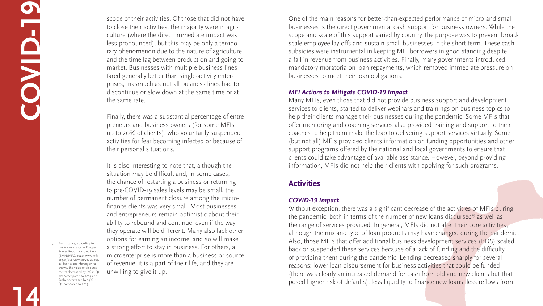scope of their activities. Of those that did not have to close their activities, the majority were in agriculture (where the direct immediate impact was less pronounced), but this may be only a temporary phenomenon due to the nature of agriculture and the time lag between production and going to market. Businesses with multiple business lines fared generally better than single-activity enterprises, inasmuch as not all business lines had to discontinue or slow down at the same time or at the same rate.

Finally, there was a substantial percentage of entrepreneurs and business owners (for some MFIs up to 20% of clients), who voluntarily suspended activities for fear becoming infected or because of their personal situations.

It is also interesting to note that, although the situation may be difficult and, in some cases, the chance of restarting a business or returning to pre-COVID-19 sales levels may be small, the number of permanent closure among the microfinance clients was very small. Most businesses and entrepreneurs remain optimistic about their ability to rebound and continue, even if the way they operate will be different. Many also lack other options for earning an income, and so will make a strong effort to stay in business. For others, a microenterprise is more than a business or source of revenue, it is a part of their life, and they are unwilling to give it up.

One of the main reasons for better-than-expected performance of micro and small businesses is the direct governmental cash support for business owners. While the scope and scale of this support varied by country, the purpose was to prevent broadscale employee lay-offs and sustain small businesses in the short term. These cash subsidies were instrumental in keeping MFI borrowers in good standing despite a fall in revenue from business activities. Finally, many governments introduced mandatory moratoria on loan repayments, which removed immediate pressure on businesses to meet their loan obligations.

Without exception, there was a significant decrease of the activities of MFIs during the pandemic, both in terms of the number of new loans disbursed<sup>15</sup> as well as the range of services provided. In general, MFIs did not alter their core activities, although the mix and type of loan products may have changed during the pandemic. Also, those MFIs that offer additional business development services (BDS) scaled back or suspended these services because of a lack of funding and the difficulty of providing them during the pandemic. Lending decreased sharply for several reasons: lower loan disbursement for business activities that could be funded (there was clearly an increased demand for cash from old and new clients but that posed higher risk of defaults), less liquidity to finance new loans, less reflows from



# *MFI Actions to Mitigate COVID-19 Impact*

Many MFIs, even those that did not provide business support and development services to clients, started to deliver webinars and trainings on business topics to help their clients manage their businesses during the pandemic. Some MFIs that offer mentoring and coaching services also provided training and support to their coaches to help them make the leap to delivering support services virtually. Some (but not all) MFIs provided clients information on funding opportunities and other support programs offered by the national and local governments to ensure that clients could take advantage of available assistance. However, beyond providing information, MFIs did not help their clients with applying for such programs.

# **Activities**

# *COVID-19 Impact*

**14**

**C**

**O**

**V**

**ID-19**

15. For instance, according to the Microfinance in Europe: Survey Report 2020 edition (EMN/MFC, 2020, [www.mfc.](www.mfc.org.pl/overview) [org.pl/overview-](www.mfc.org.pl/overview)survey-2020), as Bosnia and Herzegovina shows, the value of disbursements decreased by 6% in Q1 2020 compared to 2019 and further decreased by 19% in Q2 compared to 2019.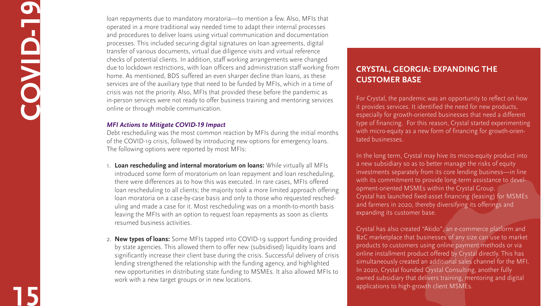loan repayments due to mandatory moratoria—to mention a few. Also, MFIs that operated in a more traditional way needed time to adapt their internal processes and procedures to deliver loans using virtual communication and documentation processes. This included securing digital signatures on loan agreements, digital transfer of various documents, virtual due diligence visits and virtual reference checks of potential clients. In addition, staff working arrangements were changed due to lockdown restrictions, with loan officers and administration staff working from home. As mentioned, BDS suffered an even sharper decline than loans, as these services are of the auxiliary type that need to be funded by MFIs, which in a time of crisis was not the priority. Also, MFIs that provided these before the pandemic as in-person services were not ready to offer business training and mentoring services online or through mobile communication.

# *MFI Actions to Mitigate COVID-19 Impact*

Debt rescheduling was the most common reaction by MFIs during the initial months of the COVID-19 crisis, followed by introducing new options for emergency loans. The following options were reported by most MFIs:

- 1. **Loan rescheduling and internal moratorium on loans:** While virtually all MFIs introduced some form of moratorium on loan repayment and loan rescheduling, there were differences as to how this was executed. In rare cases, MFIs offered loan rescheduling to all clients; the majority took a more limited approach offering loan moratoria on a case-by-case basis and only to those who requested rescheduling and made a case for it. Most rescheduling was on a month-to-month basis leaving the MFIs with an option to request loan repayments as soon as clients resumed business activities.
- 2. **New types of loans:** Some MFIs tapped into COVID-19 support funding provided by state agencies. This allowed them to offer new (subsidised) liquidity loans and significantly increase their client base during the crisis. Successful delivery of crisis lending strengthened the relationship with the funding agency, and highlighted new opportunities in distributing state funding to MSMEs. It also allowed MFIs to work with a new target groups or in new locations.

**15**

**C**

**O**

**V**

**ID-19**

# **Crystal, Georgia: Expanding the Customer Base**

For Crystal, the pandemic was an opportunity to reflect on how it provides services. It identified the need for new products, especially for growth-oriented businesses that need a different type of financing. For this reason, Crystal started experimenting with micro-equity as a new form of financing for growth-orientated businesses.

In the long term, Crystal may hive its micro-equity product into a new subsidiary so as to better manage the risks of equity investments separately from its core lending business—in line with its commitment to provide long-term assistance to development-oriented MSMEs within the Crystal Group. Crystal has launched fixed-asset financing (leasing) for MSMEs and farmers in 2020, thereby diversifying its offerings and expanding its customer base.

Crystal has also created "Akido", an e-commerce platform and B2C marketplace that businesses of any size can use to market products to customers using online payment methods or via online installment product offered by Crystal directly. This has simultaneously created an additional sales channel for the MFI. In 2020, Crystal founded Crystal Consulting, another fully owned subsidiary that delivers training, mentoring and digital applications to high-growth client MSMEs.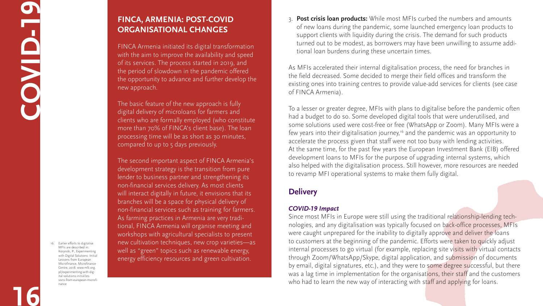3. **Post crisis loan products:** While most MFIs curbed the numbers and amounts of new loans during the pandemic, some launched emergency loan products to support clients with liquidity during the crisis. The demand for such products turned out to be modest, as borrowers may have been unwilling to assume additional loan burdens during these uncertain times.

As MFIs accelerated their internal digitalisation process, the need for branches in the field decreased. Some decided to merge their field offices and transform the existing ones into training centres to provide value-add services for clients (see case of FINCA Armenia).

Since most MFIs in Europe were still using the traditional relationship-lending technologies, and any digitalisation was typically focused on back-office processes, MFIs were caught unprepared for the inability to digitally approve and deliver the loans to customers at the beginning of the pandemic. Efforts were taken to quickly adjust internal processes to go virtual (for example, replacing site visits with virtual contacts through Zoom/WhatsApp/Skype, digital application, and submission of documents by email, digital signatures, etc.), and they were to some degree successful, but there was a lag time in implementation for the organisations, their staff and the customers who had to learn the new way of interacting with staff and applying for loans.



To a lesser or greater degree, MFIs with plans to digitalise before the pandemic often had a budget to do so. Some developed digital tools that were underutilised, and some solutions used were cost-free or free (WhatsApp or Zoom). Many MFIs were a few years into their digitalisation journey,<sup>16</sup> and the pandemic was an opportunity to accelerate the process given that staff were not too busy with lending activities. At the same time, for the past few years the European Investment Bank (EIB) offered development loans to MFIs for the purpose of upgrading internal systems, which also helped with the digitalisation process. Still however, more resources are needed to revamp MFI operational systems to make them fully digital.

# **Delivery**

## *COVID-19 Impact*

**16**

# **CO V ID-19**

# **FINCA, Armenia: Post-COVID Organisational Changes**

FINCA Armenia initiated its digital transformation with the aim to improve the availability and speed of its services. The process started in 2019, and the period of slowdown in the pandemic offered the opportunity to advance and further develop the new approach.

The basic feature of the new approach is fully digital delivery of microloans for farmers and clients who are formally employed (who constitute more than 70% of FINCA's client base). The loan processing time will be as short as 30 minutes, compared to up to 5 days previously.

The second important aspect of FINCA Armenia's development strategy is the transition from pure lender to business partner and strengthening its non-financial services delivery. As most clients will interact digitally in future, it envisions that its branches will be a space for physical delivery of non-financial services such as training for farmers. As farming practices in Armenia are very traditional, FINCA Armenia will organise meeting and workshops with agricultural specialists to present new cultivation techniques, new crop varieties—as well as "green" topics such as renewable energy, energy efficiency resources and green cultivation.

16. Earlier efforts to digitalise MFIs are described in: Korynski, P., Experimenting with Digital Solutions: Initial Lessons from European Microfinance, Microfinance Centre, 2018. [www.mfc.org.](www.mfc.org.pl/experimenting) [pl/experimenting-](www.mfc.org.pl/experimenting)with-digital-solutions-initial-lessons-from-european-microfinance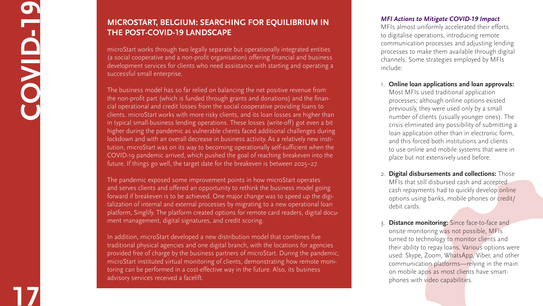# **17COVID-19** O

# **IMICROSTART, BELGIUM: SEARCHING FOR EQUILIBRIUM IN** THE POST-COVID-19 LANDSCAPE

# *MFI Actions to Mitigate COVID-19 Impact*

MFIs almost uniformly accelerated their efforts to digitalise operations, introducing remote communication processes and adjusting lending processes to make them available through digital channels. Some strategies employed by MFIs include:

- 1. **Online loan applications and loan approvals:**  Most MFIs used traditional application processes; although online options existed previously, they were used only by a small number of clients (usually younger ones). The crisis eliminated any possibility of submitting a loan application other than in electronic form, and this forced both institutions and clients to use online and mobile systems that were in place but not extensively used before.
- 2. **Digital disbursements and collections:** Those MFIs that still disbursed cash and accepted cash repayments had to quickly develop online options using banks, mobile phones or credit/ debit cards.
- 3. **Distance monitoring:** Since face-to-face and onsite monitoring was not possible, MFIs turned to technology to monitor clients and their ability to repay loans. Various options were used: Skype, Zoom, WhatsApp, Viber, and other communication platforms—relying in the main on mobile apps as most clients have smartphones with video capabilities.





microStart works through two legally separate but operationally integrated entities (a social cooperative and a non-profit organisation) offering financial and business development services for clients who need assistance with starting and operating a successful small enterprise.

In addition, microStart developed a new distribution model that combines five traditional physical agencies and one digital branch, with the locations for agencies provided free of charge by the business partners of microStart. During the pandemic, microStart instituted virtual monitoring of clients, demonstrating how remote moni toring can be performed in a cost-effective way in the future. Also, its business advisory services received a facelift.

The business model has so far relied on balancing the net positive revenue from the non-profit part (which is funded through grants and donations) and the finan cial operational and credit losses from the social cooperative providing loans to clients. microStart works with more risky clients, and its loan losses are higher than in typical small-business lending operations. These losses (write-off) got even a bit higher during the pandemic as vulnerable clients faced additional challenges during lockdown and with an overall decrease in business activity. As a relatively new insti tution, microStart was on its way to becoming operationally self-sufficient when the COVID-19 pandemic arrived, which pushed the goal of reaching breakeven into the future. If things go well, the target date for the breakeven is between 2025–27.

The pandemic exposed some improvement points in how microStart operates and serves clients and offered an opportunity to rethink the business model going forward if breakeven is to be achieved. One major change was to speed up the digi talization of internal and external processes by migrating to a new operational loan platform, Singlify. The platform created options for remote card readers, digital docu ment management, digital signatures, and credit scoring.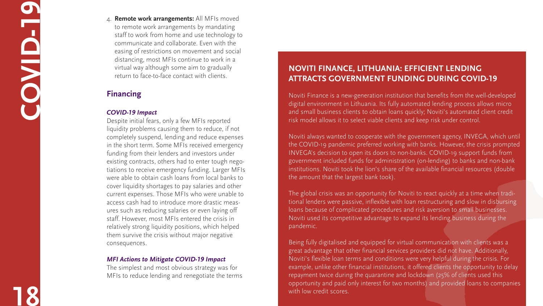4. **Remote work arrangements:** All MFIs moved to remote work arrangements by mandating staff to work from home and use technology to communicate and collaborate. Even with the easing of restrictions on movement and social distancing, most MFIs continue to work in a virtual way although some aim to gradually return to face-to-face contact with clients.

# **Financing**

# *COVID-19 Impact*

Despite initial fears, only a few MFIs reported liquidity problems causing them to reduce, if not completely suspend, lending and reduce expenses in the short term. Some MFIs received emergency funding from their lenders and investors under existing contracts, others had to enter tough nego tiations to receive emergency funding. Larger MFIs were able to obtain cash loans from local banks to cover liquidity shortages to pay salaries and other current expenses. Those MFIs who were unable to access cash had to introduce more drastic meas ures such as reducing salaries or even laying off staff. However, most MFIs entered the crisis in relatively strong liquidity positions, which helped them survive the crisis without major negative consequences.

# *MFI Actions to Mitigate COVID-19 Impact*

The simplest and most obvious strategy was for MFIs to reduce lending and renegotiate the terms

# NOVITI FINANCE, LITHUANIA: EFFICIENT LENDINC **ATTRACTS GOVERNMENT FUNDING DURING COVID-19**

Noviti Finance is a new-generation institution that benefits from the well-developed digital environment in Lithuania. Its fully automated lending process allows micro and small business clients to obtain loans quickly; Noviti's automated client credit risk model allows it to select viable clients and keep risk under control.

Noviti always wanted to cooperate with the government agency, INVEGA, which until the COVID-19 pandemic preferred working with banks. However, the crisis prompted INVEGA's decision to open its doors to non-banks. COVID-19 support funds from government included funds for administration (on-lending) to banks and non-bank institutions. Noviti took the lion's share of the available financial resources (double the amount that the largest bank took).

The global crisis was an opportunity for Noviti to react quickly at a time when tradi tional lenders were passive, inflexible with loan restructuring and slow in disbursing loans because of complicated procedures and risk aversion to small businesses. Noviti used its competitive advantage to expand its lending business during the pandemic.

Being fully digitalised and equipped for virtual communication with clients was a great advantage that other financial services providers did not have. Additionally, Noviti's flexible loan terms and conditions were very helpful during the crisis. For example, unlike other financial institutions, it offered clients the opportunity to delay repayment twice during the quarantine and lockdown (25% of clients used this opportunity and paid only interest for two months) and provided loans to companies with low credit scores.

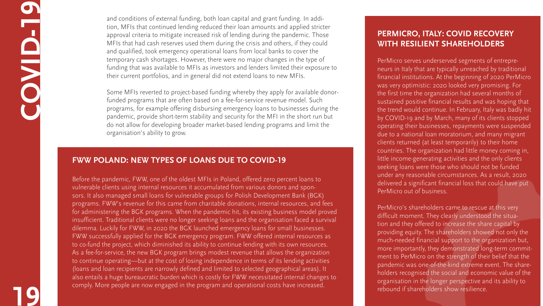and conditions of external funding, both loan capital and grant funding. In addition, MFIs that continued lending reduced their loan amounts and applied stricter approval criteria to mitigate increased risk of lending during the pandemic. Those MFIs that had cash reserves used them during the crisis and others, if they could and qualified, took emergency operational loans from local banks to cover the temporary cash shortages. However, there were no major changes in the type of funding that was available to MFIs as investors and lenders limited their exposure to their current portfolios, and in general did not extend loans to new MFIs.

Some MFIs reverted to project-based funding whereby they apply for available donorfunded programs that are often based on a fee-for-service revenue model. Such programs, for example offering disbursing emergency loans to businesses during the pandemic, provide short-term stability and security for the MFI in the short run but do not allow for developing broader market-based lending programs and limit the organisation's ability to grow.

**19**

**C**

**O**

**V**

**ID-19**

# **PerMicro, Italy: COVID Recovery with Resilient Shareholders**

PerMicro serves underserved segments of entrepreneurs in Italy that are typically unreached by traditional financial institutions. At the beginning of 2020 PerMicro was very optimistic: 2020 looked very promising. For the first time the organization had several months of sustained positive financial results and was hoping that the trend would continue. In February, Italy was badly hit by COVID-19 and by March, many of its clients stopped operating their businesses, repayments were suspended due to a national loan moratorium, and many migrant clients returned (at least temporarily) to their home countries. The organization had little money coming in, little income-generating activities and the only clients seeking loans were those who should not be funded under any reasonable circumstances. As a result, 2020 delivered a significant financial loss that could have put PerMicro out of business.

PerMicro's shareholders came to rescue at this very difficult moment. They clearly understood the situation and they offered to increase the share capital by providing equity. The shareholders showed not only the much-needed financial support to the organization but, more importantly, they demonstrated long-term commitment to PerMicro on the strength of their belief that the pandemic was one-of-the-kind extreme event. The shareholders recognised the social and economic value of the organisation in the longer perspective and its ability to rebound if shareholders show resilience.



# **FWW Poland: New Types of Loans Due to COVID-19**

Before the pandemic, FWW, one of the oldest MFIs in Poland, offered zero percent loans to vulnerable clients using internal resources it accumulated from various donors and sponsors. It also managed small loans for vulnerable groups for Polish Development Bank (BGK) programs. FWW's revenue for this came from charitable donations, internal resources, and fees for administering the BGK programs. When the pandemic hit, its existing business model proved insufficient. Traditional clients were no longer seeking loans and the organisation faced a survival dilemma. Luckily for FWW, in 2020 the BGK launched emergency loans for small businesses. FWW successfully applied for the BGK emergency program. FWW offered internal resources as to co-fund the project, which diminished its ability to continue lending with its own resources. As a fee-for-service, the new BGK program brings modest revenue that allows the organization to continue operating—but at the cost of losing independence in terms of its lending activities (loans and loan recipients are narrowly defined and limited to selected geographical areas). It also entails a huge bureaucratic burden which is costly for FWW necessitated internal changes to comply. More people are now engaged in the program and operational costs have increased.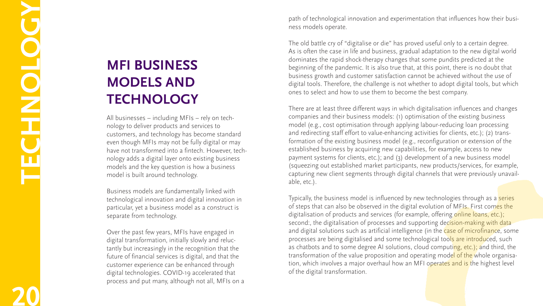path of technological innovation and experimentation that influences how their busi ness models operate.

The old battle cry of "digitalise or die" has proved useful only to a certain degree. As is often the case in life and business, gradual adaptation to the new digital world dominates the rapid shock-therapy changes that some pundits predicted at the beginning of the pandemic. It is also true that, at this point, there is no doubt that business growth and customer satisfaction cannot be achieved without the use of digital tools. Therefore, the challenge is not whether to adopt digital tools, but which ones to select and how to use them to become the best company.

There are at least three different ways in which digitalisation influences and changes companies and their business models: (1) optimisation of the existing business model (e.g., cost optimisation through applying labour-reducing loan processing and redirecting staff effort to value-enhancing activities for clients, etc.); (2) trans formation of the existing business model (e.g., reconfiguration or extension of the established business by acquiring new capabilities, for example, access to new payment systems for clients, etc.); and (3) development of a new business model (squeezing out established market participants, new products/services, for example, capturing new client segments through digital channels that were previously unavail able, etc.).

Typically, the business model is influenced by new technologies through as a series of steps that can also be observed in the digital evolution of MFIs. First comes the digitalisation of products and services (for example, offering online loans, etc.); second:, the digitalisation of processes and supporting decision-making with dataand digital solutions such as artificial intelligence (in the case of microfinance, some processes are being digitalised and some technological tools are introduced, such as chatbots and to some degree AI solutions, cloud computing, etc.); and third, the transformation of the value proposition and operating mod<mark>el of the w</mark>hole organisation, which involves a major overhaul how an MFI operates and is the highest level of the digital transformation.

# **MFI Business MODELS AND** TECHNOLOGY

**20TECHNOLOGY**

All businesses – including MFIs – rely on tech nology to deliver products and services to customers, and technology has become standard even though MFIs may not be fully digital or may have not transformed into a fintech. However, tech nology adds a digital layer onto existing business models and the key question is how a business model is built around technology.

Business models are fundamentally linked with technological innovation and digital innovation in particular, yet a business model as a construct is separate from technology.

Over the past few years, MFIs have engaged in digital transformation, initially slowly and reluc tantly but increasingly in the recognition that the future of financial services is digital, and that the customer experience can be enhanced through digital technologies. COVID-19 accelerated that process and put many, although not all, MFIs on a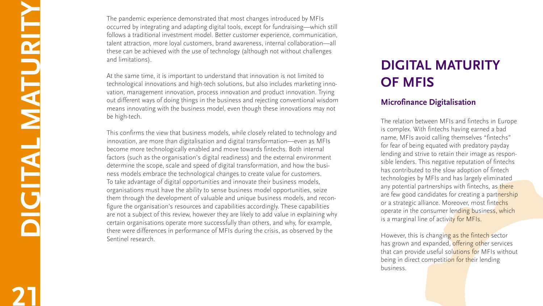# **DIGITAL MATURITY of MFIs**

# **Microfinance Digitalisation**

The relation between MFIs and fintechs in Europe is complex. With fintechs having earned a bad name, MFIs avoid calling themselves "fintechs" for fear of being equated with predatory payday lending and strive to retain their image as respon sible lenders. This negative reputation of fintechs has contributed to the slow adoption of fintech technologies by MFIs and has largely eliminated any potential partnerships with fintechs, as there are few good candidates for creating a partnership or a strategic alliance. Moreover, most fintechs operate in the consumer lending business, which is a marginal line of activity for MFIs.

However, this is changing as the fintech sector has grown and expanded, offering other services that can provide useful solutions for MFIs without being in direct competition for their lending business.





**21DIGITAL MATURITY**

**HALLANDRANDRANDRAND** 

The pandemic experience demonstrated that most changes introduced by MFIs occurred by integrating and adapting digital tools, except for fundraising—which still follows a traditional investment model. Better customer experience, communication, talent attraction, more loyal customers, brand awareness, internal collaboration—all these can be achieved with the use of technology (although not without challenges and limitations).

At the same time, it is important to understand that innovation is not limited to technological innovations and high-tech solutions, but also includes marketing inno vation, management innovation, process innovation and product innovation. Trying out different ways of doing things in the business and rejecting conventional wisdom means innovating with the business model, even though these innovations may not be high-tech.

This confirms the view that business models, while closely related to technology and innovation, are more than digitalisation and digital transformation—even as MFIs become more technologically enabled and move towards fintechs. Both internal factors (such as the organisation's digital readiness) and the external environment determine the scope, scale and speed of digital transformation, and how the busi ness models embrace the technological changes to create value for customers. To take advantage of digital opportunities and innovate their business models, organisations must have the ability to sense business model opportunities, seize them through the development of valuable and unique business models, and recon figure the organisation's resources and capabilities accordingly. These capabilities are not a subject of this review, however they are likely to add value in explaining why certain organisations operate more successfully than others, and why, for example, there were differences in performance of MFIs during the crisis, as observed by the Sentinel research.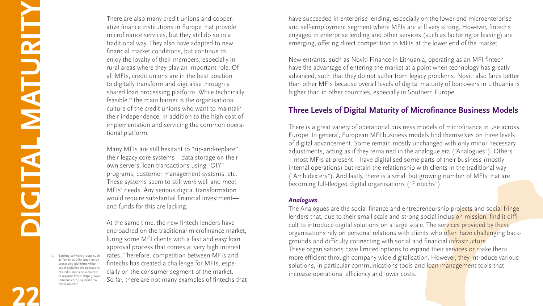have succeeded in enterprise lending, especially on the lower-end microenterprise and self-employment segment where MFIs are still very strong. However, fintechs engaged in enterprise lending and other services (such as factoring or leasing) are emerging, offering direct competition to MFIs at the lower end of the market.

New entrants, such as Noviti Finance in Lithuania, operating as an MFI fintech have the advantage of entering the market at a point when technology has greatly advanced, such that they do not suffer from legacy problems. Noviti also fares better than other MFIs because overall levels of digital maturity of borrowers in Lithuania is higher than in other countries, especially in Southern Europe.

# **Three Levels of Digital Maturity of Microfinance Business Models**

The Analogues are the social finance and entrepreneurship projects and social fringe lenders that, due to their small scale and strong social inclusion mission, find it difficult to introduce digital solutions on a large scale. The services provided by these organisations rely on personal relations with clients who often have challenging backgrounds and difficulty connecting with social and financial infrastructure. These organisations have limited options to expand their services or make them more efficient through company-wide digitalisation. However, they introduce various solutions, in particular communications tools and loan management tools that increase operational efficiency and lower costs.













There is a great variety of operational business models of microfinance in use across Europe. In general, European MFI business models find themselves on three levels of digital advancement. Some remain mostly unchanged with only minor necessary adjustments, acting as if they remained in the analogue era ("Analogues"). Others – most MFIs at present – have digitalised some parts of their business (mostly internal operations) but retain the relationship with clients in the traditional way ("Ambidexters"). And lastly, there is a small but growing number of MFIs that are becoming full-fledged digital organisations ("Fintechs").

## *Analogues*

Many MFIs are still hesitant to "rip-and-replace" their legacy core systems—data storage on their own servers, loan transactions using "DIY" programs, customer management systems, etc. These systems seem to still work well and meet MFIs' needs. Any serious digital transformation would require substantial financial investment and funds for this are lacking.

**22**

**D**

**G**

**ITAL MATUR**

**T**

**Y**

There are also many credit unions and cooperative finance institutions in Europe that provide microfinance services, but they still do so in a traditional way. They also have adapted to new financial market conditions, but continue to enjoy the loyalty of their members, especially in rural areas where they play an important role. Of all MFIs, credit unions are in the best position to digitally transform and digitalise through a shared loan processing platform. While technically feasible,<sup>17</sup> the main barrier is the organisational culture of the credit unions who want to maintain their independence, in addition to the high cost of implementation and servicing the common operational platform.

At the same time, the new fintech lenders have encroached on the traditional microfinance market, luring some MFI clients with a fast and easy loan approval process that comes at very high interest rates. Therefore, competition between MFIs and fintechs has created a challenge for MFIs, especially on the consumer segment of the market. So far, there are not many examples of fintechs that

17. Banking software groups such as Temenos offer credit union processing platforms which could digitalise the operations of credit unions on a country or regional levels: [https://www.](https://www.temenos.com/us/solutions/credit) [temenos.com/us/solutions/](https://www.temenos.com/us/solutions/credit) [credit](https://www.temenos.com/us/solutions/credit)-unions/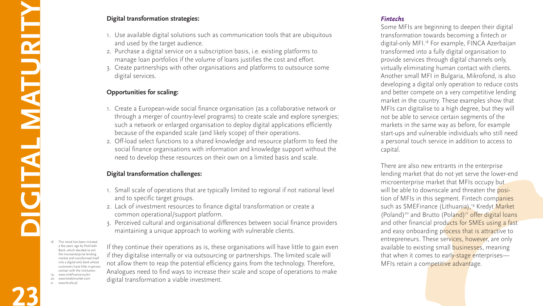# *Fintechs*

There are also new entrants in the enterprise lending market that do not yet serve the lower-end microenterprise market that MFIs occupy but will be able to downscale and threaten the position of MFIs in this segment. Fintech companies such as SMEFinance (Lithuania),<sup>19</sup> Kredyt Market (Poland)<sup>20</sup> and Brutto (Poland)<sup>21</sup> offer digital loans and other financial products for SMEs using a fast and easy onboarding process that is attractive to entrepreneurs. These services, however, are only available to existing small businesses, meaning that when it comes to early-stage enterprises-MFIs retain a competitive advantage.







Some MFIs are beginning to deepen their digital transformation towards becoming a fintech or digital-only MFI.<sup>18</sup> For example, FINCA Azerbaijan transformed into a fully digital organisation to provide services through digital channels only, virtually eliminating human contact with clients. Another small MFI in Bulgaria, Mikrofond, is also developing a digital only operation to reduce costs and better compete on a very competitive lending market in the country. These examples show that MFIs can digitalise to a high degree, but they will not be able to service certain segments of the markets in the same way as before, for example start-ups and vulnerable individuals who still need a personal touch service in addition to access to capital.

**23**

**Digital transformation strategies:**

- 1. Use available digital solutions such as communication tools that are ubiquitous and used by the target audience.
- 2. Purchase a digital service on a subscription basis, i.e. existing platforms to manage loan portfolios if the volume of loans justifies the cost and effort.
- 3. Create partnerships with other organisations and platforms to outsource some digital services.

# **Opportunities for scaling:**

- 1. Create a European-wide social finance organisation (as a collaborative network or through a merger of country-level programs) to create scale and explore synergies; such a network or enlarged organisation to deploy digital applications efficiently because of the expanded scale (and likely scope) of their operations.
- 2. Off-load select functions to a shared knowledge and resource platform to feed the social finance organisations with information and knowledge support without the need to develop these resources on their own on a limited basis and scale.

# **Digital transformation challenges:**

- 1. Small scale of operations that are typically limited to regional if not national level and to specific target groups.
- 2. Lack of investment resources to finance digital transformation or create a common operational/support platform.
- 3. Perceived cultural and organisational differences between social finance providers maintaining a unique approach to working with vulnerable clients.

If they continue their operations as is, these organisations will have little to gain even if they digitalise internally or via outsourcing or partnerships. The limited scale will not allow them to reap the potential efficiency gains from the technology. Therefore, Analogues need to find ways to increase their scale and scope of operations to make digital transformation a viable investment.

- 18. This trend has been initiated a few years ago by ProCredit Bank, which decided to exit the microenterprise lending market and transformed itself into a digital-only bank whose customers have little in-person contact with the institution. 19. <www.smefinance.eu/en>
- 20. <www.kredytmarket.com>
- 21. <www.brutto.pl>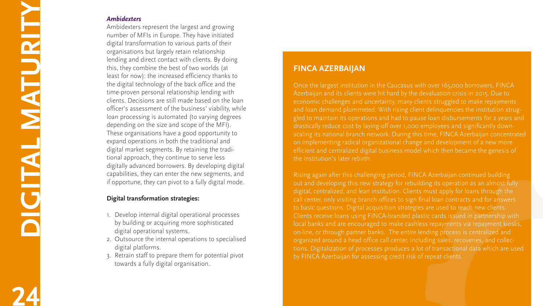# **24DIGITAL MATURITY** NEW STATES

# *Ambidexters*

Ambidexters represent the largest and growing number of MFIs in Europe. They have initiated digital transformation to various parts of their organisations but largely retain relationship lending and direct contact with clients. By doing this, they combine the best of two worlds (at least for now): the increased efficiency thanks to the digital technology of the back office and the time-proven personal relationship lending with clients. Decisions are still made based on the loan officer's assessment of the business' viability, while loan processing is automated (to varying degrees depending on the size and scope of the MFI). These organisations have a good opportunity to expand operations in both the traditional and digital market segments. By retaining the tradi tional approach, they continue to serve less digitally advanced borrowers. By developing digital capabilities, they can enter the new segments, and if opportune, they can pivot to a fully digital mode.

# **Digital transformation strategies:**

- 1. Develop internal digital operational processes by building or acquiring more sophisticated digital operational systems.
- 2. Outsource the internal operations to specialised digital platforms.
- 3. Retrain staff to prepare them for potential pivot towards a fully digital organisation.

# **FINCA AZERBAIJAN**

Once the largest institution in the Caucasus with over 165,000 borrowers, FINCA Azerbaijan and its clients were hit hard by the devaluation crisis in 2015. Due to economic challenges and uncertainty, many clients struggled to make repayments and loan demand plummeted. With rising client delinquencies the institution strug gled to maintain its operations and had to pause loan disbursements for 2 years and drastically reduce cost by laying-off over 1,000 employees and significantly down scaling its national branch network. During this time, FINCA Azerbaijan concentrated on implementing radical organizational change and development of a new more efficient and centralized digital business model which then became the genesis of the institution's later rebirth.

Rising again after this challenging period, FINCA Azerbaijan continued building out and developing this new strategy for rebuilding its operation as an almost fully digital, centralized, and lean institution. Clients must apply for loans through the call center, only visiting branch offices to sign final loan contracts and for answers to basic questions. Digital acquisition strategies are used to reach new clients. Clients receive loans using FINCA-branded plastic cards issued in partnership with local banks and are encouraged to make cashless repayments via repayment kiosks, on-line, or through partner banks. The entire lending process is centralized and organized around a head office call center, including sales, recoveries, and collec tions. Digitalization of processes produces a lot of transactional data which are used by FINCA Azerbaijan for assessing credit risk of repeat clients.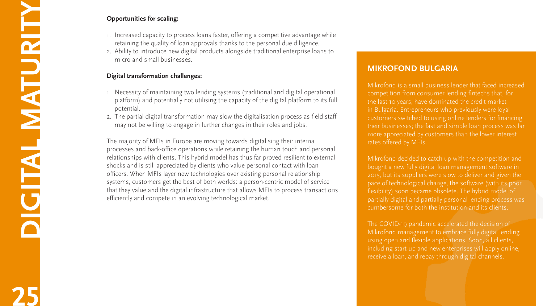# **Opportunities for scaling:**

- 1. Increased capacity to process loans faster, offering a competitive advantage while retaining the quality of loan approvals thanks to the personal due diligence.
- 2. Ability to introduce new digital products alongside traditional enterprise loans to micro and small businesses.

# **Digital transformation challenges:**

- 1. Necessity of maintaining two lending systems (traditional and digital operational platform) and potentially not utilising the capacity of the digital platform to its full potential.
- 2. The partial digital transformation may slow the digitalisation process as field staff may not be willing to engage in further changes in their roles and jobs.

Mikrofond is a small business lender that faced increased competition from consumer lending fintechs that, for the last 10 years, have dominated the credit market in Bulgaria. Entrepreneurs who previously were loyal customers switched to using online lenders for financing their businesses; the fast and simple loan process was far more appreciated by customers than the lower interest rates offered by MFIs.

The majority of MFIs in Europe are moving towards digitalising their internal processes and back-office operations while retaining the human touch and personal relationships with clients. This hybrid model has thus far proved resilient to external shocks and is still appreciated by clients who value personal contact with loan officers. When MFIs layer new technologies over existing personal relationship systems, customers get the best of both worlds: a person-centric model of service that they value and the digital infrastructure that allows MFIs to process transactions efficiently and compete in an evolving technological market.

# **MIKROFOND BULGARIA**

Mikrofond decided to catch up with the competition and bought a new fully digital loan management software in 2015, but its suppliers were slow to deliver and given the pace of technological change, the software (with its poor flexibility) soon became obsolete. The hybrid model of partially digital and partially personal lending process was cumbersome for both the institution and its clients.

The COVID-19 pandemic accelerated the decision of Mikrofond management to embrace fully digital lending using open and flexible applications. Soon, all clients, including start-up and new enterprises will apply online, receive a loan, and repay through digital channels.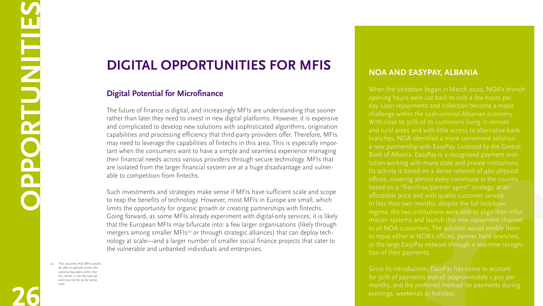**26**

**OPP** 

**DRUGINI** 

**TEERS**<br> **TEERS** 

**S**

# **Digital Opportunities for MFIs**

# **Digital Potential for Microfinance**

The future of finance is digital, and increasingly MFIs are understanding that sooner rather than later they need to invest in new digital platforms. However, it is expensive and complicated to develop new solutions with sophisticated algorithms, origination capabilities and processing efficiency that third-party providers offer. Therefore, MFIs may need to leverage the capabilities of fintechs in this area. This is especially important when the consumers want to have a simple and seamless experience managing their financial needs across various providers through secure technology. MFIs that are isolated from the larger financial system are at a huge disadvantage and vulnerable to competition from fintechs.

Such investments and strategies make sense if MFIs have sufficient scale and scope to reap the benefits of technology. However, most MFIs in Europe are small, which limits the opportunity for organic growth or creating partnerships with fintechs. Going forward, as some MFIs already experiment with digital-only services, it is likely that the European MFIs may bifurcate into: a few larger organisations (likely through mergers among smaller MFIs<sup>22</sup> or through strategic alliances) that can deploy technology at scale—and a larger number of smaller social finance projects that cater to the vulnerable and unbanked individuals and enterprises.

# **NOA and EasyPay, Albania**

When the lockdown began in March 2020, NOA's branch opening hours were cut back to only a few hours per day. Loan repayments and collection become a major challenge within the cash-centred Albanian economy. With close to 30% of its customers living in remote and rural areas and with little access to alternative bank branches, NOA identified a more convenient solution: a new partnership with EasyPay. Licensed by the Central Bank of Albania, EasyPay is a recognised payment institution working with many state and private institutions. Its activity is based on a dense network of 460 physical offices, covering almost every commune in the country based on a "franchise/partner agent" strategy, at an affordable price and with quality customer service. In less than two months, despite the full lockdown regime, the two institutions were able to align their information systems and launch this new repayment channel to all NOA customers. The solution would enable them to repay either at NOA's offices, partner bank branches, or the large EasyPay network through a real-time recognition of their payments.

Since its introduction, EasyPay has come to account for 30% of payments overall (approximately 1,300 per month), and the preferred method for payments during evenings, weekends or holidays.

<sup>22.</sup> This assumes that MFIs would be able to operate across the national boarders within the EU, which is not the case yet and may not be so for some time.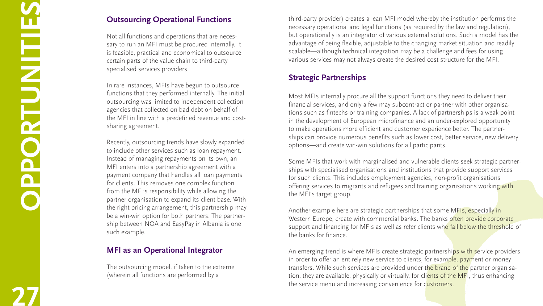third-party provider) creates a lean MFI model whereby the institution performs the necessary operational and legal functions (as required by the law and regulation), but operationally is an integrator of various external solutions. Such a model has the advantage of being flexible, adjustable to the changing market situation and readily scalable—although technical integration may be a challenge and fees for using various services may not always create the desired cost structure for the MFI.

# **Strategic Partnerships**

Most MFIs internally procure all the support functions they need to deliver their financial services, and only a few may subcontract or partner with other organisa tions such as fintechs or training companies. A lack of partnerships is a weak point in the development of European microfinance and an under-explored opportunity to make operations more efficient and customer experience better. The partner ships can provide numerous benefits such as lower cost, better service, new delivery options—and create win-win solutions for all participants.

An emerging trend is where MFIs create strategic partnerships with service providers in order to offer an entirely new service to clients, for example, payment or money transfers. While such services are provided under the brand of the partner organisation, they are available, physically or virtually, for clients of the MFI, thus enhancing the service menu and increasing convenience for customers.













# **Outsourcing Operational Functions**

Some MFIs that work with marginalised and vulnerable clients seek strategic partner ships with specialised organisations and institutions that provide support services for such clients. This includes employment agencies, non-profit organisations offering services to migrants and refugees and training organisations working with the MFI's target group.

Another example here are strategic partnerships that some MFIs, especially in Western Europe, create with commercial banks. The banks often provide corporate support and financing for MFIs as well as refer clients who fall below the threshold of the banks for finance.

Not all functions and operations that are neces sary to run an MFI must be procured internally. It is feasible, practical and economical to outsource certain parts of the value chain to third-party specialised services providers.

In rare instances, MFIs have begun to outsource functions that they performed internally. The initial outsourcing was limited to independent collection agencies that collected on bad debt on behalf of the MFI in line with a predefined revenue and costsharing agreement.

Recently, outsourcing trends have slowly expanded to include other services such as loan repayment. Instead of managing repayments on its own, an MFI enters into a partnership agreement with a payment company that handles all loan payments for clients. This removes one complex function from the MFI's responsibility while allowing the partner organisation to expand its client base. With the right pricing arrangement, this partnership may be a win-win option for both partners. The partnership between NOA and EasyPay in Albania is one such example.

# **MFI as an Operational Integrator**

The outsourcing model, if taken to the extreme (wherein all functions are performed by a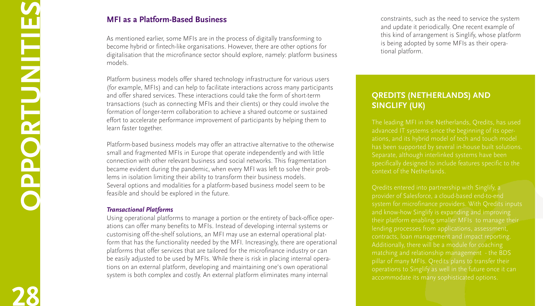constraints, such as the need to service the system and update it periodically. One recent example of this kind of arrangement is Singlify, whose platform is being adopted by some MFIs as their operational platform.

**28**

# **MFI as a Platform-Based Business**

As mentioned earlier, some MFIs are in the process of digitally transforming to become hybrid or fintech-like organisations. However, there are other options for digitalisation that the microfinance sector should explore, namely: platform business models.

Platform business models offer shared technology infrastructure for various users (for example, MFIs) and can help to facilitate interactions across many participants and offer shared services. These interactions could take the form of short-term transactions (such as connecting MFIs and their clients) or they could involve the formation of longer-term collaboration to achieve a shared outcome or sustained effort to accelerate performance improvement of participants by helping them to learn faster together.

Platform-based business models may offer an attractive alternative to the otherwise small and fragmented MFIs in Europe that operate independently and with little connection with other relevant business and social networks. This fragmentation became evident during the pandemic, when every MFI was left to solve their problems in isolation limiting their ability to transform their business models. Several options and modalities for a platform-based business model seem to be feasible and should be explored in the future.

# *Transactional Platforms*

Using operational platforms to manage a portion or the entirety of back-office operations can offer many benefits to MFIs. Instead of developing internal systems or customising off-the-shelf solutions, an MFI may use an external operational platform that has the functionality needed by the MFI. Increasingly, there are operational platforms that offer services that are tailored for the microfinance industry or can be easily adjusted to be used by MFIs. While there is risk in placing internal operations on an external platform, developing and maintaining one's own operational system is both complex and costly. An external platform eliminates many internal

# **Qredits (Netherlands) and Singlify (UK)**

The leading MFI in the Netherlands, Qredits, has used advanced IT systems since the beginning of its operations, and its hybrid model of tech and touch model has been supported by several in-house built solutions. Separate, although interlinked systems have been specifically designed to include features specific to the context of the Netherlands.

Qredits entered into partnership with Singlify, a provider of Salesforce, a cloud-based end-to-end system for microfinance providers. With Qredits inputs and know-how Singlify is expanding and improving their platform enabling smaller MFIs to manage their lending processes from applications, assessment, contracts, loan management and impact reporting. Additionally, there will be a module for coaching matching and relationship management - the BDS pillar of many MFIs. Qredits plans to transfer their operations to Singlify as well in the future once it can accommodate its many sophisticated options.



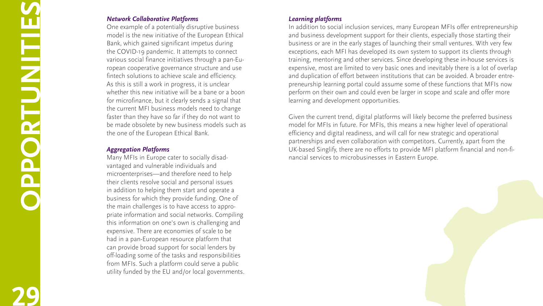# *Learning platforms*

In addition to social inclusion services, many European MFIs offer entrepreneurship and business development support for their clients, especially those starting their business or are in the early stages of launching their small ventures. With very few exceptions, each MFI has developed its own system to support its clients through training, mentoring and other services. Since developing these in-house services is expensive, most are limited to very basic ones and inevitably there is a lot of overlap and duplication of effort between institutions that can be avoided. A broader entre preneurship learning portal could assume some of these functions that MFIs now perform on their own and could even be larger in scope and scale and offer more learning and development opportunities.

# **29OPPORTUNITIES CONTROLLED**

Given the current trend, digital platforms will likely become the preferred business model for MFIs in future. For MFIs, this means a new higher level of operational efficiency and digital readiness, and will call for new strategic and operational partnerships and even collaboration with competitors. Currently, apart from the UK-based Singlify, there are no efforts to provide MFI platform financial and non-fi nancial services to microbusinesses in Eastern Europe.





# *Network Collaborative Platforms*

One example of a potentially disruptive business model is the new initiative of the European Ethical Bank, which gained significant impetus during the COVID-19 pandemic. It attempts to connect various social finance initiatives through a pan-Eu ropean cooperative governance structure and use fintech solutions to achieve scale and efficiency. As this is still a work in progress, it is unclear whether this new initiative will be a bane or a boon for microfinance, but it clearly sends a signal that the current MFI business models need to change faster than they have so far if they do not want to be made obsolete by new business models such as the one of the European Ethical Bank.

# *Aggregation Platforms*

Many MFIs in Europe cater to socially disad vantaged and vulnerable individuals and microenterprises—and therefore need to help their clients resolve social and personal issues in addition to helping them start and operate a business for which they provide funding. One of the main challenges is to have access to appro priate information and social networks. Compiling this information on one's own is challenging and expensive. There are economies of scale to be had in a pan-European resource platform that can provide broad support for social lenders by off-loading some of the tasks and responsibilities from MFIs. Such a platform could serve a public utility funded by the EU and/or local governments.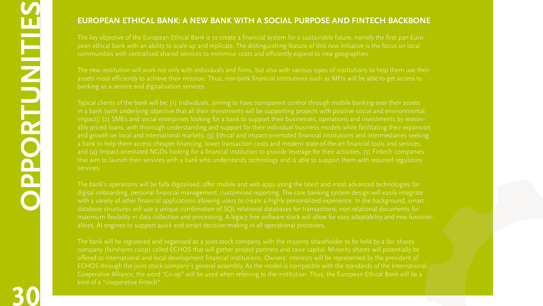**30**

# **European Ethical Bank: A New Bank with a Social Purpose and Fintech Backbone**

The key objective of the European Ethical Bank is to create a financial system for a sustainable future, namely the first pan-European ethical bank with an ability to scale up and replicate. The distinguishing feature of this new initiative is the focus on local communities with centralised shared services to minimise costs and efficiently expand to new geographies.

The new institution will work not only with individuals and firms, but also with various types of institutions to help them use their assets most efficiently to achieve their mission. Thus, non-bank financial institutions such as MFIs will be able to get access to banking as a service and digitalisation services.

Typical clients of the bank will be: (1) Individuals, aiming to have transparent control through mobile banking over their assets in a bank (with underlying objective that all their investments will be supporting projects with positive social and environmental impact); (2) SMEs and social enterprises looking for a bank to support their businesses, operations and investments by reasonably priced loans, with thorough understanding and support for their individual business models while facilitating their expansion and growth on local and international markets; (3) Ethical and impact-orientated financial institutions and intermediaries seeking a bank to help them access cheaper financing, lower transaction costs and modern state-of-the-art financial tools and services, and (4) Impact-orientated NGOs looking for a financial institution to provide leverage for their activities, (5) Fintech companies that aim to launch their services with a bank who understands technology and is able to support them with required regulatory services.

The bank will be registered and organised as a joint-stock company, with the majority shareholder to be held by a fair shares company (<fairshares.coop>) called ECHOS that will gather project partners and raise capital. Minority shares will potentially be offered to international and local development financial institutions. Owners' interests will be represented by the president of ECHOS through the joint-stock company's general assembly. As the model is compatible with the standards of the International Cooperative Alliance, the word "Co-op" will be used when referring to the institution. Thus, the European Ethical Bank will be a kind of a "cooperative fintech".



The bank's operations will be fully digitalised, offer mobile and web apps using the latest and most advanced technologies for digital onboarding, personal financial management, customised reporting. The core banking system design will easily integrate with a variety of other financial applications allowing users to create a highly personalized experience. In the background, smart database structures will use a unique combination of SQL relational databases for transactions, non-relational documents for maximum flexibility in data collection and processing. A legacy free software stack will allow for easy adaptability and new functionalities, AI engines to support quick and smart decision-making in all operational processes.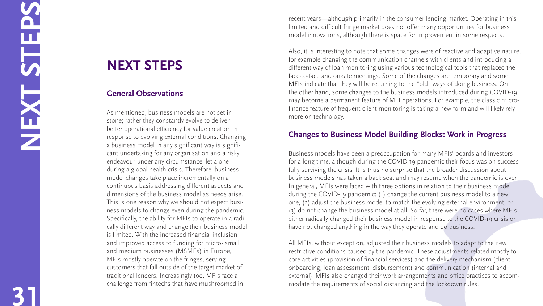recent years—although primarily in the consumer lending market. Operating in this limited and difficult fringe market does not offer many opportunities for business model innovations, although there is space for improvement in some respects.

Also, it is interesting to note that some changes were of reactive and adaptive nature, for example changing the communication channels with clients and introducing a different way of loan monitoring using various technological tools that replaced the face-to-face and on-site meetings. Some of the changes are temporary and some MFIs indicate that they will be returning to the "old" ways of doing business. On the other hand, some changes to the business models introduced during COVID-19 may become a permanent feature of MFI operations. For example, the classic micro finance feature of frequent client monitoring is taking a new form and will likely rely more on technology.

# **Changes to Business Model Building Blocks: Work in Progress**

Business models have been a preoccupation for many MFIs' boards and investors for a long time, although during the COVID-19 pandemic their focus was on success fully surviving the crisis. It is thus no surprise that the broader discussion about business models has taken a back seat and may resume when the pandemic is over. In general, MFIs were faced with three options in relation to their business model during the COVID-19 pandemic: (1) change the current business model to a new one, (2) adjust the business model to match the evolving external environment, or (3) do not change the business model at all. So far, there were no cases where MFIs either radically changed their business model in response to the COVID-19 crisis or have not changed anything in the way they operate and do business.

All MFIs, without exception, adjusted their business models to adapt to the new restrictive conditions caused by the pandemic. These adjustments related mostly to core activities (provision of financial services) and the delivery mechanism (client onboarding, loan assessment, disbursement) and communication (internal and external). MFIs also changed their work arrangements and office practices to accom modate the requirements of social distancing and the lockdown rules.

**31NEXT STEPS**

DE LA

# **NEXT ST EPS**

# **General Observations**

As mentioned, business models are not set in stone; rather they constantly evolve to deliver better operational efficiency for value creation in response to evolving external conditions. Changing a business model in any significant way is signifi cant undertaking for any organisation and a risky endeavour under any circumstance, let alone during a global health crisis. Therefore, business model changes take place incrementally on a continuous basis addressing different aspects and dimensions of the business model as needs arise. This is one reason why we should not expect busi ness models to change even during the pandemic. Specifically, the ability for MFIs to operate in a radi cally different way and change their business model is limited. With the increased financial inclusion and improved access to funding for micro- small and medium businesses (MSMEs) in Europe, MFIs mostly operate on the fringes, serving customers that fall outside of the target market of traditional lenders. Increasingly too, MFIs face a challenge from fintechs that have mushroomed in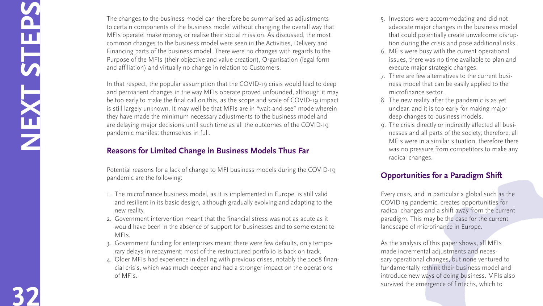- 5. Investors were accommodating and did not advocate major changes in the business model that could potentially create unwelcome disrup tion during the crisis and pose additional risks.
- 6. MFIs were busy with the current operational issues, there was no time available to plan and execute major strategic changes.
- 7. There are few alternatives to the current busi ness model that can be easily applied to the microfinance sector.
- 8. The new reality after the pandemic is as yet unclear, and it is too early for making major deep changes to business models.
- 9. The crisis directly or indirectly affected all busi nesses and all parts of the society; therefore, all MFIs were in a similar situation, therefore there was no pressure from competitors to make any radical changes.

# **Opportunities for a Paradigm Shift**

Every crisis, and in particular a global such as the COVID-19 pandemic, creates opportunities for radical changes and a shift away from the current paradigm. This may be the case for the current landscape of microfinance in Europe.

As the analysis of this paper shows, all MFIs made incremental adjustments and neces sary operational changes, but none ventured to fundamentally rethink their business model and introduce new ways of doing business. MFIs also survived the emergence of fintechs, which to









**32NEXT STEPS**

The changes to the business model can therefore be summarised as adjustments to certain components of the business model without changing the overall way that MFIs operate, make money, or realise their social mission. As discussed, the most common changes to the business model were seen in the Activities, Delivery and Financing parts of the business model. There were no changes with regards to the Purpose of the MFIs (their objective and value creation), Organisation (legal form and affiliation) and virtually no change in relation to Customers.

In that respect, the popular assumption that the COVID-19 crisis would lead to deep and permanent changes in the way MFIs operate proved unfounded, although it may be too early to make the final call on this, as the scope and scale of COVID-19 impact is still largely unknown. It may well be that MFIs are in "wait-and-see" mode wherein they have made the minimum necessary adjustments to the business model and are delaying major decisions until such time as all the outcomes of the COVID-19 pandemic manifest themselves in full.

# **Reasons for Limited Change in Business Models Thus Far**

Potential reasons for a lack of change to MFI business models during the COVID-19 pandemic are the following:

1. The microfinance business model, as it is implemented in Europe, is still valid and resilient in its basic design, although gradually evolving and adapting to the new reality.

- 2. Government intervention meant that the financial stress was not as acute as it would have been in the absence of support for businesses and to some extent to MFIs.
- 3. Government funding for enterprises meant there were few defaults, only tempo rary delays in repayment; most of the restructured portfolio is back on track.
- 4. Older MFIs had experience in dealing with previous crises, notably the 2008 finan cial crisis, which was much deeper and had a stronger impact on the operations of MFIs.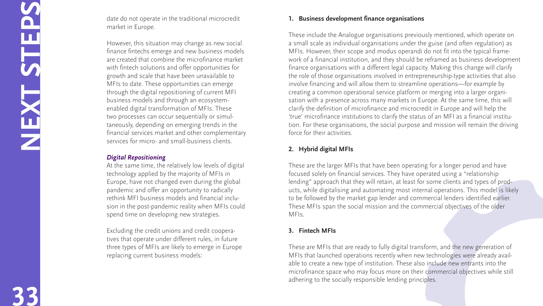# **1. Business development finance organisations**

These include the Analogue organisations previously mentioned, which operate on a small scale as individual organisations under the guise (and often regulation) as MFIs. However, their scope and modus operandi do not fit into the typical framework of a financial institution, and they should be reframed as business development finance organisations with a different legal capacity. Making this change will clarify the role of those organisations involved in entrepreneurship-type activities that also involve financing and will allow them to streamline operations—for example by creating a common operational service platform or merging into a larger organi sation with a presence across many markets in Europe. At the same time, this will clarify the definition of microfinance and microcredit in Europe and will help the 'true' microfinance institutions to clarify the status of an MFI as a financial institu tion. For these organisations, the social purpose and mission will remain the driving force for their activities.

# **2. Hybrid digital MFI s**

These are the larger MFIs that have been operating for a longer period and have focused solely on financial services. They have operated using a "relationship lending" approach that they will retain, at least for some clients and types of prod ucts, while digitalising and automating most internal operations. This model is likely to be followed by the market gap lender and commercial lenders identified earlier. These MFIs span the social mission and the commercial objectives of the older MFIs.

# **3. Fintech MFI s**

These are MFIs that are ready to fully digital transform, and the new generation of MFIs that launched operations recently when new technologies were already available to create a new type of institution. These also include new entrants into the microfinance space who may focus more on their commercial objectives while still adhering to the socially responsible lending principles.











**33NEXT STEPS**

date do not operate in the traditional microcredit market in Europe.

However, this situation may change as new social finance fintechs emerge and new business models are created that combine the microfinance market with fintech solutions and offer opportunities for growth and scale that have been unavailable to MFIs to date. These opportunities can emerge through the digital repositioning of current MFI business models and through an ecosystemenabled digital transformation of MFIs. These two processes can occur sequentially or simul taneously, depending on emerging trends in the financial services market and other complementary services for micro- and small-business clients.

# *Digital Repositioning*

At the same time, the relatively low levels of digital technology applied by the majority of MFIs in Europe, have not changed even during the global pandemic and offer an opportunity to radically rethink MFI business models and financial inclu sion in the post-pandemic reality when MFIs could spend time on developing new strategies.

Excluding the credit unions and credit coopera tives that operate under different rules, in future three types of MFIs are likely to emerge in Europe replacing current business models: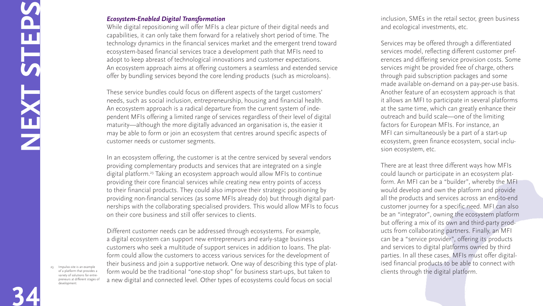inclusion, SMEs in the retail sector, green business and ecological investments, etc.

Services may be offered through a differentiated services model, reflecting different customer preferences and differing service provision costs. Some services might be provided free of charge, others through paid subscription packages and some made available on-demand on a pay-per-use basis. Another feature of an ecosystem approach is that it allows an MFI to participate in several platforms at the same time, which can greatly enhance their outreach and build scale—one of the limiting factors for European MFIs. For instance, an MFI can simultaneously be a part of a start-up ecosystem, green finance ecosystem, social inclusion ecosystem, etc.

# **EPS**<br> **EPS 34NEXT ST**

There are at least three different ways how MFIs could launch or participate in an ecosystem platform. An MFI can be a "builder", whereby the MFI would develop and own the platform and provide all the products and services across an end-to-end customer journey for a specific need. MFI can also be an "integrator", owning the ecosystem platform but offering a mix of its own and third-party products from collaborating partners. Finally, an MFI can be a "service provider", offering its products and services to digital platforms owned by third parties. In all these cases, MFIs must offer digitalised financial products to be able to connect with clients through the digital platform.



# *Ecosystem-Enabled Digital Transformation*

While digital repositioning will offer MFIs a clear picture of their digital needs and capabilities, it can only take them forward for a relatively short period of time. The technology dynamics in the financial services market and the emergent trend toward ecosystem-based financial services trace a development path that MFIs need to adopt to keep abreast of technological innovations and customer expectations. An ecosystem approach aims at offering customers a seamless and extended service offer by bundling services beyond the core lending products (such as microloans).

These service bundles could focus on different aspects of the target customers' needs, such as social inclusion, entrepreneurship, housing and financial health. An ecosystem approach is a radical departure from the current system of independent MFIs offering a limited range of services regardless of their level of digital maturity—although the more digitally advanced an organisation is, the easier it may be able to form or join an ecosystem that centres around specific aspects of customer needs or customer segments.

In an ecosystem offering, the customer is at the centre serviced by several vendors providing complementary products and services that are integrated on a single digital platform.23 Taking an ecosystem approach would allow MFIs to continue providing their core financial services while creating new entry points of access to their financial products. They could also improve their strategic positioning by providing non-financial services (as some MFIs already do) but through digital partnerships with the collaborating specialised providers. This would allow MFIs to focus on their core business and still offer services to clients.

Different customer needs can be addressed through ecosystems. For example, a digital ecosystem can support new entrepreneurs and early-stage business customers who seek a multitude of support services in addition to loans. The platform could allow the customers to access various services for the development of their business and join a supportive network. One way of describing this type of platform would be the traditional "one-stop shop" for business start-ups, but taken to a new digital and connected level. Other types of ecosystems could focus on social

23. <Impulso.site>is an example of a platform that provides a variety of solutions for entrepreneurs at different stages of development.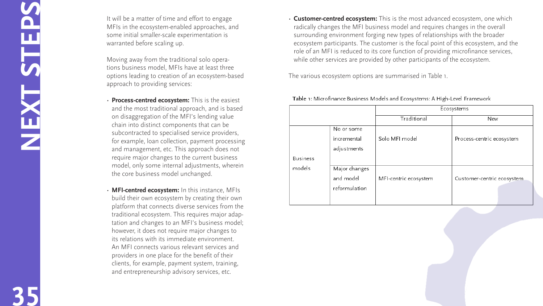• **Customer-centred ecosystem:** This is the most advanced ecosystem, one which radically changes the MFI business model and requires changes in the overall surrounding environment forging new types of relationships with the broader ecosystem participants. The customer is the focal point of this ecosystem, and the role of an MFI is reduced to its core function of providing microfinance services, while other services are provided by other participants of the ecosystem.

The various ecosystem options are summarised in Table 1.

|                 |                                             | Ecosystems            |                        |
|-----------------|---------------------------------------------|-----------------------|------------------------|
|                 |                                             | Traditional           | New                    |
|                 | No or some<br>incremental<br>adjustments    | Solo MFI model        | Process-centric ecosys |
| <b>Business</b> |                                             |                       |                        |
| models          | Major changes<br>and model<br>reformulation | MFI-centric ecosystem | Customer-centric ecosy |

### Table 1: Microfinance Business Models and Ecosystems: A High-Level Framework



**35NEXT STEPS**

It will be a matter of time and effort to engage MFIs in the ecosystem-enabled approaches, and some initial smaller-scale experimentation is warranted before scaling up.

Moving away from the traditional solo opera tions business model, MFIs have at least three options leading to creation of an ecosystem-based approach to providing services:

- **Process-centred ecosystem:** This is the easiest and the most traditional approach, and is based on disaggregation of the MFI's lending value chain into distinct components that can be subcontracted to specialised service providers, for example, loan collection, payment processing and management, etc. This approach does not require major changes to the current business model, only some internal adjustments, wherein the core business model unchanged.
- $\cdot$  **MFI-centred ecosystem:** In this instance, MFIs build their own ecosystem by creating their own platform that connects diverse services from the traditional ecosystem. This requires major adap tation and changes to an MFI's business model; however, it does not require major changes to its relations with its immediate environment. An MFI connects various relevant services and providers in one place for the benefit of their clients, for example, payment system, training, and entrepreneurship advisory services, etc.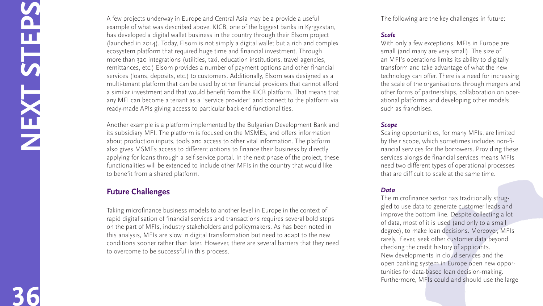The following are the key challenges in future:

# *Scale*

With only a few exceptions, MFIs in Europe are small (and many are very small). The size of an MFI's operations limits its ability to digitally transform and take advantage of what the new technology can offer. There is a need for increasing the scale of the organisations through mergers and other forms of partnerships, collaboration on oper ational platforms and developing other models such as franchises.

# *Scope*

Scaling opportunities, for many MFIs, are limited by their scope, which sometimes includes non-fi nancial services for the borrowers. Providing these services alongside financial services means MFIs need two different types of operational processes that are difficult to scale at the same time.

# *Data*

The microfinance sector has traditionally strug gled to use data to generate customer leads and improve the bottom line. Despite collecting a lot of data, most of it is used (and only to a small degree), to make loan decisions. Moreover, MFIs rarely, if ever, seek other customer data beyond checking the credit history of applicants. New developments in cloud services and the open banking system in Europe open new oppor tunities for data-based loan decision-making. Furthermore, MFIs could and should use the large











**36NEXT STEPS**

A few projects underway in Europe and Central Asia may be a provide a useful example of what was described above. KICB, one of the biggest banks in Kyrgyzstan, has developed a digital wallet business in the country through their Elsom project (launched in 2014). Today, Elsom is not simply a digital wallet but a rich and complex ecosystem platform that required huge time and financial investment. Through more than 320 integrations (utilities, taxi, education institutions, travel agencies, remittances, etc.) Elsom provides a number of payment options and other financial services (loans, deposits, etc.) to customers. Additionally, Elsom was designed as a multi-tenant platform that can be used by other financial providers that cannot afford a similar investment and that would benefit from the KICB platform. That means that any MFI can become a tenant as a "service provider" and connect to the platform via ready-made APIs giving access to particular back-end functionalities.

Another example is a platform implemented by the Bulgarian Development Bank and its subsidiary MFI. The platform is focused on the MSMEs, and offers information about production inputs, tools and access to other vital information. The platform also gives MSMEs access to different options to finance their business by directly applying for loans through a self-service portal. In the next phase of the project, these functionalities will be extended to include other MFIs in the country that would like to benefit from a shared platform.

# **Future Challenges**

Taking microfinance business models to another level in Europe in the context of rapid digitalisation of financial services and transactions requires several bold steps on the part of MFIs, industry stakeholders and policymakers. As has been noted in this analysis, MFIs are slow in digital transformation but need to adapt to the new conditions sooner rather than later. However, there are several barriers that they need to overcome to be successful in this process.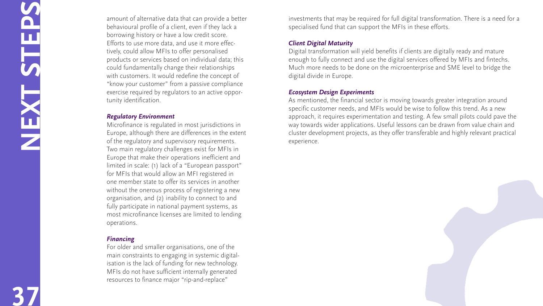investments that may be required for full digital transformation. There is a need for a specialised fund that can support the MFIs in these efforts.

# *Client Digital Maturity*

Digital transformation will yield benefits if clients are digitally ready and mature enough to fully connect and use the digital services offered by MFIs and fintechs. Much more needs to be done on the microenterprise and SME level to bridge the digital divide in Europe.

# *Ecosystem Design Experiments*

As mentioned, the financial sector is moving towards greater integration around specific customer needs, and MFIs would be wise to follow this trend. As a new approach, it requires experimentation and testing. A few small pilots could pave the way towards wider applications. Useful lessons can be drawn from value chain and cluster development projects, as they offer transferable and highly relevant practical experience.



**37NEXT STEPS**

amount of alternative data that can provide a better behavioural profile of a client, even if they lack a borrowing history or have a low credit score. Efforts to use more data, and use it more effec tively, could allow MFIs to offer personalised products or services based on individual data; this could fundamentally change their relationships with customers. It would redefine the concept of "know your customer" from a passive compliance exercise required by regulators to an active oppor tunity identification.

# *Regulatory Environment*

Microfinance is regulated in most jurisdictions in Europe, although there are differences in the extent of the regulatory and supervisory requirements. Two main regulatory challenges exist for MFIs in Europe that make their operations inefficient and limited in scale: (1) lack of a "European passport" for MFIs that would allow an MFI registered in one member state to offer its services in another without the onerous process of registering a new organisation, and (2) inability to connect to and fully participate in national payment systems, as most microfinance licenses are limited to lending operations.

# *Financing*

For older and smaller organisations, one of the main constraints to engaging in systemic digital isation is the lack of funding for new technology. MFIs do not have sufficient internally generated resources to finance major "rip-and-replace"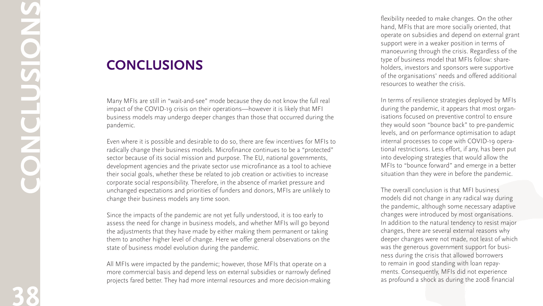flexibility needed to make changes. On the other hand, MFIs that are more socially oriented, that operate on subsidies and depend on external grant support were in a weaker position in terms of manoeuvring through the crisis. Regardless of the type of business model that MFIs follow: share holders, investors and sponsors were supportive of the organisations' needs and offered additional resources to weather the crisis.

In terms of resilience strategies deployed by MFIs during the pandemic, it appears that most organ isations focused on preventive control to ensure they would soon "bounce back" to pre-pandemic levels, and on performance optimisation to adapt internal processes to cope with COVID-19 opera tional restrictions. Less effort, if any, has been put into developing strategies that would allow the MFIs to "bounce forward" and emerge in a better situation than they were in before the pandemic.

The overall conclusion is that MFI business models did not change in any radical way during the pandemic, although some necessary adaptive changes were introduced by most organisations. In addition to the natural tendency to resist major changes, there are several external reasons why deeper changes were not made, not least of which was the generous government support for busi ness during the crisis that allowed borrowers to remain in good standing with loan repay ments. Consequently, MFIs did not experience as profound a shock as during the 2008 financial





**38conclusions**

# **Conclusion s**

Many MFIs are still in "wait-and-see" mode because they do not know the full real impact of the COVID-19 crisis on their operations—however it is likely that MFI business models may undergo deeper changes than those that occurred during the pandemic.

Even where it is possible and desirable to do so, there are few incentives for MFIs to radically change their business models. Microfinance continues to be a "protected" sector because of its social mission and purpose. The EU, national governments, development agencies and the private sector use microfinance as a tool to achieve their social goals, whether these be related to job creation or activities to increase corporate social responsibility. Therefore, in the absence of market pressure and unchanged expectations and priorities of funders and donors, MFIs are unlikely to change their business models any time soon.

Since the impacts of the pandemic are not yet fully understood, it is too early to assess the need for change in business models, and whether MFIs will go beyond the adjustments that they have made by either making them permanent or taking them to another higher level of change. Here we offer general observations on the state of business model evolution during the pandemic.

All MFIs were impacted by the pandemic; however, those MFIs that operate on a more commercial basis and depend less on external subsidies or narrowly defined projects fared better. They had more internal resources and more decision-making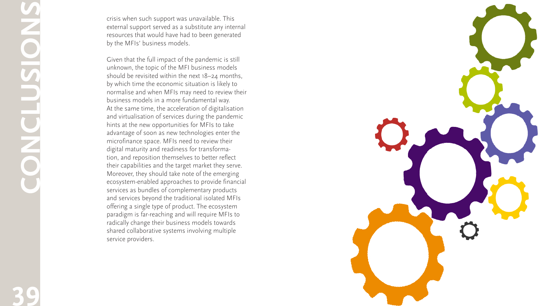

crisis when such support was unavailable. This external support served as a substitute any internal resources that would have had to been generated by the MFIs' business models.

Given that the full impact of the pandemic is still unknown, the topic of the MFI business models should be revisited within the next 18–24 months, by which time the economic situation is likely to normalise and when MFIs may need to review their business models in a more fundamental way. At the same time, the acceleration of digitalisation and virtualisation of services during the pandemic hints at the new opportunities for MFIs to take advantage of soon as new technologies enter the microfinance space. MFIs need to review their digital maturity and readiness for transforma tion, and reposition themselves to better reflect their capabilities and the target market they serve. Moreover, they should take note of the emerging ecosystem-enabled approaches to provide financial services as bundles of complementary products and services beyond the traditional isolated MFIs offering a single type of product. The ecosystem paradigm is far-reaching and will require MFIs to radically change their business models towards shared collaborative systems involving multiple service providers.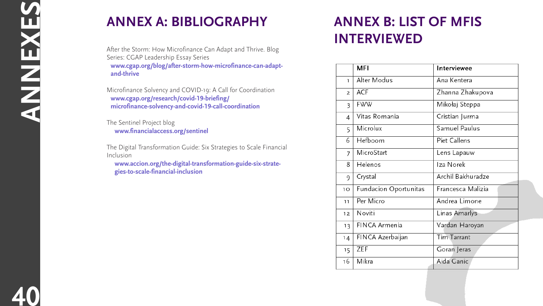# **Annex B: List of mfiS Interviewed**

|                 | <b>MFI</b>            | Interviewee       |
|-----------------|-----------------------|-------------------|
| $\mathbb{L}$    | Alter Modus           | Ana Kentera       |
| $\overline{2}$  | <b>ACF</b>            | Zhanna Zhakupova  |
| 3               | <b>FWW</b>            | Mikołaj Steppa    |
| 4               | Vitas Romania         | Cristian Jurma    |
| 5               | Microlux              | Samuel Paulus     |
| 6               | Hefboom               | Piet Callens      |
| $\overline{I}$  | MicroStart            | Lens Lapauw       |
| 8               | Helenos               | Iza Norek         |
| 9               | Crystal               | Archil Bakhuradze |
| 10              | Fundacion Oportunitas | Francesca Malizia |
| 11              | Per Micro             | Andrea Limone     |
| 12 <sub>1</sub> | Noviti                | Linas Amarlys     |
| 13              | FINCA Armenia         | Vardan Haroyan    |
| 14              | FINCA Azerbaijan      | Tim Tarrant       |
| 15              | ZEF                   | Goran Jeras       |
| 16              | Mikra                 | Aida Ganic        |





# **Annex A: Bibliography**

After the Storm: How Microfinance Can Adapt and Thrive. Blog Series: CGAP Leadership Essay Series **<www.cgap.org/blog/after>-storm-how-microfinance-can-adaptand-thrive**

Microfinance Solvency and COVID-19: A Call for Coordination **[www.cgap.org/research/covid-19-briefing/](www.cgap.org/research/covid-19-briefing/microfinance) [microfinance-](www.cgap.org/research/covid-19-briefing/microfinance)solvency-and-covid-19-call-coordination**

The Sentinel Project blog **<www.financialaccess.org/sentinel>**

The Digital Transformation Guide: Six Strategies to Scale Financial Inclusion

**<www.accion.org/the>-digital-transformation-guide-six-strategies-to-scale-financial-inclusion**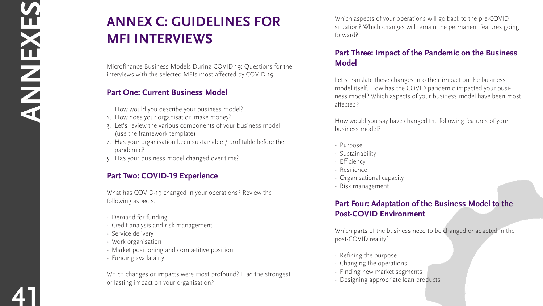Which aspects of your operations will go back to the pre-COVID situation? Which changes will remain the permanent features going forward?

# Part Three: Impact of the Pandemic on the Business **Model**

Let's translate these changes into their impact on the business model itself. How has the COVID pandemic impacted your busi ness model? Which aspects of your business model have been most affected?

How would you say have changed the following features of your business model?

- Purpose
- Sustainability
- Efficiency
- Resilience
- Organisational capacity
- Risk management

# **ANNEX C: GUIDELINES FOR MFI I n t erviews**

# **Part Four: Adaptation of the Business Model to the Post-C O V ID Environment**

Which parts of the business need to be changed or adapted in the post-COVID reality?

- Refining the purpose
- Changing the operations
- Finding new market segments
- Designing appropriate loan products



**41ANNEXES**

- Work organisation
- Market positioning and competitive position
- Funding availability

Microfinance Business Models During COVID-19: Questions for the interviews with the selected MFIs most affected by COVID-19

# **Part One: Current Business Model**

- 1. How would you describe your business model?
- 2. How does your organisation make money?
- 3. Let's review the various components of your business model (use the framework template)
- 4. Has your organisation been sustainable / profitable before the pandemic?
- 5. Has your business model changed over time?

# **Part Two: COVID-19 Experience**

What has COVID-19 changed in your operations? Review the following aspects:

- Demand for funding
- • Credit analysis and risk management
- Service delivery

Which changes or impacts were most profound? Had the strongest or lasting impact on your organisation?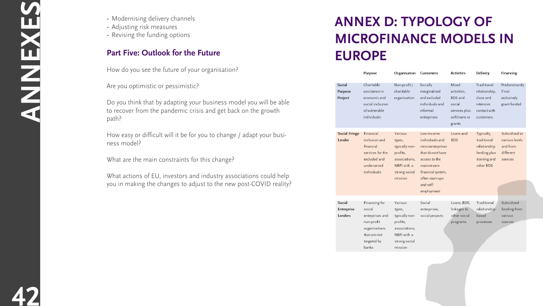# **Annex D: Typology of Microfinance Models in Europe**

|                                 | Purpose                                                                                                           | Organisation                                                                                                | Customers                                                                                                                                                               | Activities                                                                            | Delivery                                                                               | Finan                                       |
|---------------------------------|-------------------------------------------------------------------------------------------------------------------|-------------------------------------------------------------------------------------------------------------|-------------------------------------------------------------------------------------------------------------------------------------------------------------------------|---------------------------------------------------------------------------------------|----------------------------------------------------------------------------------------|---------------------------------------------|
| Social<br>Purpose<br>Project    | Charitable<br>assistance in<br>economic and<br>social inclusion<br>of vulnerable<br>individuals                   | Non-profit/<br>charitable<br>organisation                                                                   | Socially<br>marginalised<br>and excluded<br>individuals and<br>informal<br>enterprises                                                                                  | Mixed<br>activities,<br>BDS and<br>social<br>services plus<br>soft loans or<br>grants | Traditional<br>relationship,<br>close and<br>intensive<br>contact with<br>customers    | Predc<br>if not<br>exclus<br>grant          |
| Social Fringe<br>Lender         | Financial<br>inclusion and<br>financial<br>services for the<br>excluded and<br>underserved<br>individuals         | Various<br>types,<br>typically non-<br>profits,<br>associations,<br>NBFI with a<br>strong social<br>mission | Low-income<br>individuals and<br>microenterprises<br>that do not have<br>access to the<br>mainstream<br>financial system,<br>often start-ups<br>and self-<br>employment | Loans and<br><b>BDS</b>                                                               | Typically,<br>traditional<br>relationship<br>lending plus<br>training and<br>other BDS | Subsi<br>vario<br>and fi<br>differ<br>souro |
| Social<br>Enterprise<br>Lenders | Financing for<br>social<br>enterprises and<br>non-profit<br>organisations<br>that are not<br>targeted by<br>banks | Various<br>types,<br>typically non-<br>profits,<br>associations,<br>NBFI with a<br>strong social<br>mission | Social<br>enterprises,<br>social projects                                                                                                                               | Loans, BDS,<br>linkages to<br>other social<br>programs                                | Traditional<br>relationship-<br>based<br>processes                                     | Subsi<br>fundi<br>vario<br>souro            |

- 
- 



# ncing minantl

sively funded

dised at us levels om~ ent es:

าg from

**42**

- Modernising delivery channels
- Adjusting risk measures
- Revising the funding options

# **Part Five: Outlook for the Future**

How do you see the future of your organisation?

Are you optimistic or pessimistic?

Do you think that by adapting your business model you will be able to recover from the pandemic crisis and get back on the growth path?

How easy or difficult will it be for you to change / adapt your business model?

What are the main constraints for this change?

What actions of EU, investors and industry associations could help you in making the changes to adjust to the new post-COVID reality?